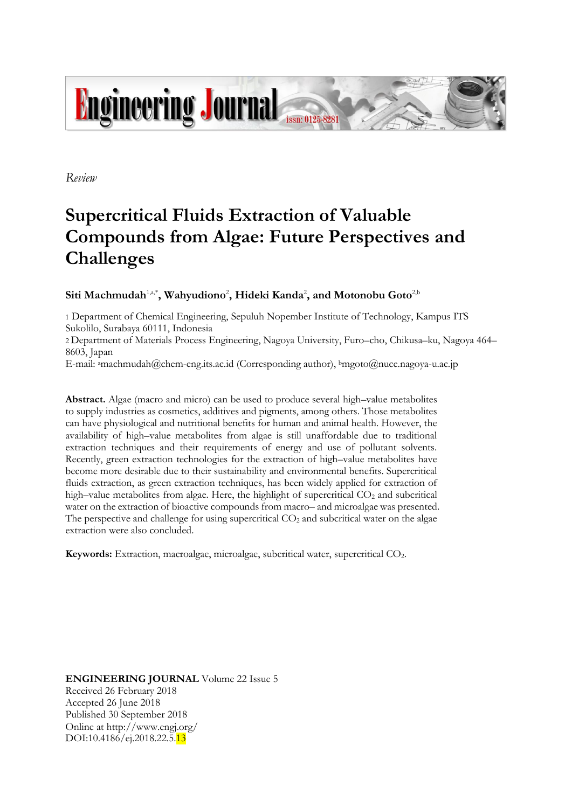

*Review*

# **Supercritical Fluids Extraction of Valuable Compounds from Algae: Future Perspectives and Challenges**

# $\mathbf S$ iti Machmudah $^{1, \mathsf{a}^\ast}$ , Wahyudiono<sup>2</sup>, Hideki Kanda<sup>2</sup>, and Motonobu Goto<sup>2,b</sup>

1 Department of Chemical Engineering, Sepuluh Nopember Institute of Technology, Kampus ITS Sukolilo, Surabaya 60111, Indonesia

2 Department of Materials Process Engineering, Nagoya University, Furo–cho, Chikusa–ku, Nagoya 464– 8603, Japan

E-mail: <sup>a</sup>machmudah@chem-eng.its.ac.id (Corresponding author), <sup>b</sup>mgoto@nuce.nagoya-u.ac.jp

**Abstract.** Algae (macro and micro) can be used to produce several high–value metabolites to supply industries as cosmetics, additives and pigments, among others. Those metabolites can have physiological and nutritional benefits for human and animal health. However, the availability of high–value metabolites from algae is still unaffordable due to traditional extraction techniques and their requirements of energy and use of pollutant solvents. Recently, green extraction technologies for the extraction of high–value metabolites have become more desirable due to their sustainability and environmental benefits. Supercritical fluids extraction, as green extraction techniques, has been widely applied for extraction of high–value metabolites from algae. Here, the highlight of supercritical  $CO<sub>2</sub>$  and subcritical water on the extraction of bioactive compounds from macro– and microalgae was presented. The perspective and challenge for using supercritical  $CO<sub>2</sub>$  and subcritical water on the algae extraction were also concluded.

**Keywords:** Extraction, macroalgae, microalgae, subcritical water, supercritical CO2.

**ENGINEERING JOURNAL** Volume 22 Issue 5 Received 26 February 2018 Accepted 26 June 2018 Published 30 September 2018 Online at http://www.engj.org/ DOI:10.4186/ej.2018.22.5.<sup>13</sup>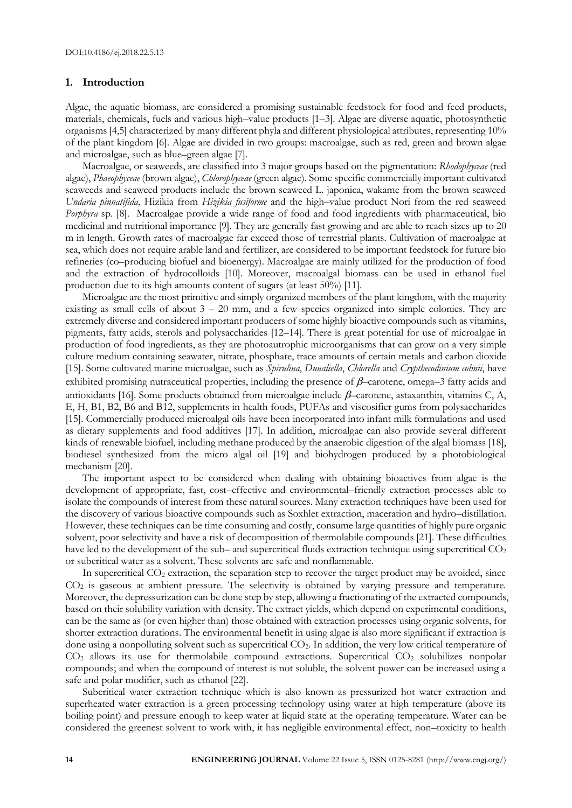#### **1. Introduction**

Algae, the aquatic biomass, are considered a promising sustainable feedstock for food and feed products, materials, chemicals, fuels and various high–value products [1–3]. Algae are diverse aquatic, photosynthetic organisms [4,5] characterized by many different phyla and different physiological attributes, representing 10% of the plant kingdom [6]. Algae are divided in two groups: macroalgae, such as red, green and brown algae and microalgae, such as blue–green algae [7].

Macroalgae, or seaweeds, are classified into 3 major groups based on the pigmentation: *Rhodophyceae* (red algae), *Phaeophyceae* (brown algae), *Chlorophyceae* (green algae). Some specific commercially important cultivated seaweeds and seaweed products include the brown seaweed L. japonica, wakame from the brown seaweed *Undaria pinnatifida*, Hizikia from *Hizikia fusiforme* and the high–value product Nori from the red seaweed *Porphyra* sp. [8]. Macroalgae provide a wide range of food and food ingredients with pharmaceutical, bio medicinal and nutritional importance [9]. They are generally fast growing and are able to reach sizes up to 20 m in length. Growth rates of macroalgae far exceed those of terrestrial plants. Cultivation of macroalgae at sea, which does not require arable land and fertilizer, are considered to be important feedstock for future bio refineries (co–producing biofuel and bioenergy). Macroalgae are mainly utilized for the production of food and the extraction of hydrocolloids [10]. Moreover, macroalgal biomass can be used in ethanol fuel production due to its high amounts content of sugars (at least 50%) [11].

Microalgae are the most primitive and simply organized members of the plant kingdom, with the majority existing as small cells of about  $3 - 20$  mm, and a few species organized into simple colonies. They are extremely diverse and considered important producers of some highly bioactive compounds such as vitamins, pigments, fatty acids, sterols and polysaccharides [12–14]. There is great potential for use of microalgae in production of food ingredients, as they are photoautrophic microorganisms that can grow on a very simple culture medium containing seawater, nitrate, phosphate, trace amounts of certain metals and carbon dioxide [15]. Some cultivated marine microalgae, such as *Spirulina*, *Dunaliella*, *Chlorella* and *Crypthecodinium cohnii*, have exhibited promising nutraceutical properties, including the presence of  $\beta$ -carotene, omega-3 fatty acids and antioxidants [16]. Some products obtained from microalgae include  $\beta$ -carotene, astaxanthin, vitamins C, A, E, H, B1, B2, B6 and B12, supplements in health foods, PUFAs and viscosifier gums from polysaccharides [15]. Commercially produced microalgal oils have been incorporated into infant milk formulations and used as dietary supplements and food additives [17]. In addition, microalgae can also provide several different kinds of renewable biofuel, including methane produced by the anaerobic digestion of the algal biomass [18], biodiesel synthesized from the micro algal oil [19] and biohydrogen produced by a photobiological mechanism [20].

The important aspect to be considered when dealing with obtaining bioactives from algae is the development of appropriate, fast, cost–effective and environmental–friendly extraction processes able to isolate the compounds of interest from these natural sources. Many extraction techniques have been used for the discovery of various bioactive compounds such as Soxhlet extraction, maceration and hydro–distillation. However, these techniques can be time consuming and costly, consume large quantities of highly pure organic solvent, poor selectivity and have a risk of decomposition of thermolabile compounds [21]. These difficulties have led to the development of the sub– and supercritical fluids extraction technique using supercritical CO<sub>2</sub> or subcritical water as a solvent. These solvents are safe and nonflammable.

In supercritical  $CO<sub>2</sub>$  extraction, the separation step to recover the target product may be avoided, since CO<sup>2</sup> is gaseous at ambient pressure. The selectivity is obtained by varying pressure and temperature. Moreover, the depressurization can be done step by step, allowing a fractionating of the extracted compounds, based on their solubility variation with density. The extract yields, which depend on experimental conditions, can be the same as (or even higher than) those obtained with extraction processes using organic solvents, for shorter extraction durations. The environmental benefit in using algae is also more significant if extraction is done using a nonpolluting solvent such as supercritical CO2. In addition, the very low critical temperature of  $CO<sub>2</sub>$  allows its use for thermolabile compound extractions. Supercritical  $CO<sub>2</sub>$  solubilizes nonpolar compounds; and when the compound of interest is not soluble, the solvent power can be increased using a safe and polar modifier, such as ethanol [22].

Subcritical water extraction technique which is also known as pressurized hot water extraction and superheated water extraction is a green processing technology using water at high temperature (above its boiling point) and pressure enough to keep water at liquid state at the operating temperature. Water can be considered the greenest solvent to work with, it has negligible environmental effect, non–toxicity to health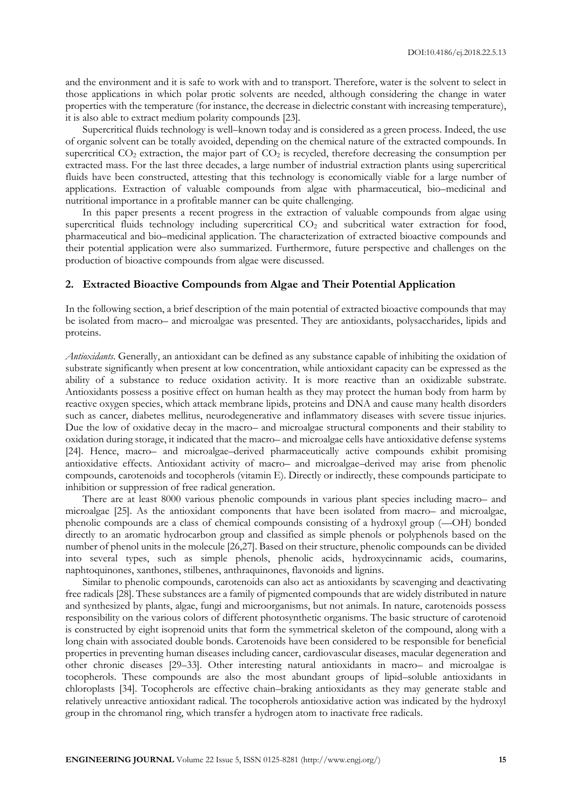and the environment and it is safe to work with and to transport. Therefore, water is the solvent to select in those applications in which polar protic solvents are needed, although considering the change in water properties with the temperature (for instance, the decrease in dielectric constant with increasing temperature), it is also able to extract medium polarity compounds [23].

Supercritical fluids technology is well–known today and is considered as a green process. Indeed, the use of organic solvent can be totally avoided, depending on the chemical nature of the extracted compounds. In supercritical  $CO<sub>2</sub>$  extraction, the major part of  $CO<sub>2</sub>$  is recycled, therefore decreasing the consumption per extracted mass. For the last three decades, a large number of industrial extraction plants using supercritical fluids have been constructed, attesting that this technology is economically viable for a large number of applications. Extraction of valuable compounds from algae with pharmaceutical, bio–medicinal and nutritional importance in a profitable manner can be quite challenging.

In this paper presents a recent progress in the extraction of valuable compounds from algae using supercritical fluids technology including supercritical CO<sub>2</sub> and subcritical water extraction for food, pharmaceutical and bio–medicinal application. The characterization of extracted bioactive compounds and their potential application were also summarized. Furthermore, future perspective and challenges on the production of bioactive compounds from algae were discussed.

### **2. Extracted Bioactive Compounds from Algae and Their Potential Application**

In the following section, a brief description of the main potential of extracted bioactive compounds that may be isolated from macro– and microalgae was presented. They are antioxidants, polysaccharides, lipids and proteins.

*Antioxidants*. Generally, an antioxidant can be defined as any substance capable of inhibiting the oxidation of substrate significantly when present at low concentration, while antioxidant capacity can be expressed as the ability of a substance to reduce oxidation activity. It is more reactive than an oxidizable substrate. Antioxidants possess a positive effect on human health as they may protect the human body from harm by reactive oxygen species, which attack membrane lipids, proteins and DNA and cause many health disorders such as cancer, diabetes mellitus, neurodegenerative and inflammatory diseases with severe tissue injuries. Due the low of oxidative decay in the macro– and microalgae structural components and their stability to oxidation during storage, it indicated that the macro– and microalgae cells have antioxidative defense systems [24]. Hence, macro– and microalgae–derived pharmaceutically active compounds exhibit promising antioxidative effects. Antioxidant activity of macro– and microalgae–derived may arise from phenolic compounds, carotenoids and tocopherols (vitamin E). Directly or indirectly, these compounds participate to inhibition or suppression of free radical generation.

There are at least 8000 various phenolic compounds in various plant species including macro– and microalgae [25]. As the antioxidant components that have been isolated from macro– and microalgae, phenolic compounds are a class of chemical compounds consisting of a hydroxyl group (—OH) bonded directly to an aromatic hydrocarbon group and classified as simple phenols or polyphenols based on the number of phenol units in the molecule [26,27]. Based on their structure, phenolic compounds can be divided into several types, such as simple phenols, phenolic acids, hydroxycinnamic acids, coumarins, naphtoquinones, xanthones, stilbenes, anthraquinones, flavonoids and lignins.

Similar to phenolic compounds, carotenoids can also act as antioxidants by scavenging and deactivating free radicals [28]. These substances are a family of pigmented compounds that are widely distributed in nature and synthesized by plants, algae, fungi and microorganisms, but not animals. In nature, carotenoids possess responsibility on the various colors of different photosynthetic organisms. The basic structure of carotenoid is constructed by eight isoprenoid units that form the symmetrical skeleton of the compound, along with a long chain with associated double bonds. Carotenoids have been considered to be responsible for beneficial properties in preventing human diseases including cancer, cardiovascular diseases, macular degeneration and other chronic diseases [29–33]. Other interesting natural antioxidants in macro– and microalgae is tocopherols. These compounds are also the most abundant groups of lipid–soluble antioxidants in chloroplasts [34]. Tocopherols are effective chain–braking antioxidants as they may generate stable and relatively unreactive antioxidant radical. The tocopherols antioxidative action was indicated by the hydroxyl group in the chromanol ring, which transfer a hydrogen atom to inactivate free radicals.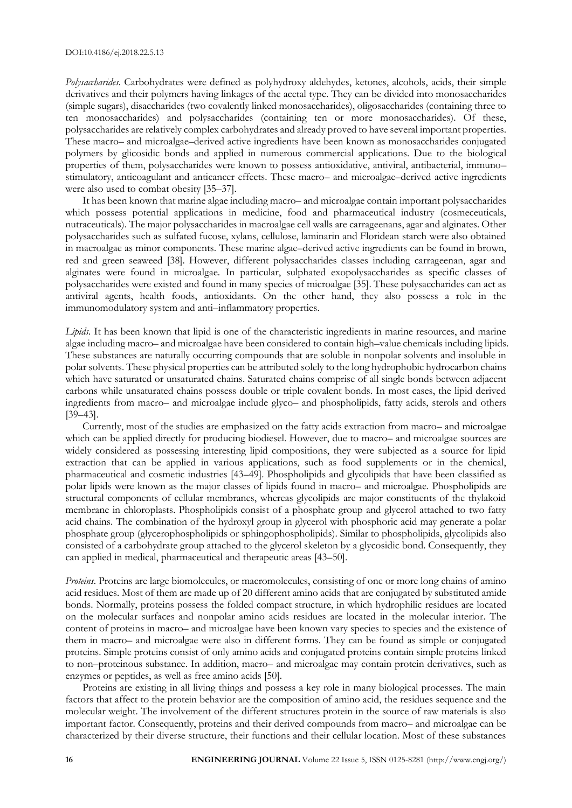*Polysaccharides*. Carbohydrates were defined as polyhydroxy aldehydes, ketones, alcohols, acids, their simple derivatives and their polymers having linkages of the acetal type. They can be divided into monosaccharides (simple sugars), disaccharides (two covalently linked monosaccharides), oligosaccharides (containing three to ten monosaccharides) and polysaccharides (containing ten or more monosaccharides). Of these, polysaccharides are relatively complex carbohydrates and already proved to have several important properties. These macro– and microalgae–derived active ingredients have been known as monosaccharides conjugated polymers by glicosidic bonds and applied in numerous commercial applications. Due to the biological properties of them, polysaccharides were known to possess antioxidative, antiviral, antibacterial, immuno– stimulatory, anticoagulant and anticancer effects. These macro– and microalgae–derived active ingredients were also used to combat obesity [35–37].

It has been known that marine algae including macro– and microalgae contain important polysaccharides which possess potential applications in medicine, food and pharmaceutical industry (cosmeceuticals, nutraceuticals). The major polysaccharides in macroalgae cell walls are carrageenans, agar and alginates. Other polysaccharides such as sulfated fucose, xylans, cellulose, laminarin and Floridean starch were also obtained in macroalgae as minor components. These marine algae–derived active ingredients can be found in brown, red and green seaweed [38]. However, different polysaccharides classes including carrageenan, agar and alginates were found in microalgae. In particular, sulphated exopolysaccharides as specific classes of polysaccharides were existed and found in many species of microalgae [35]. These polysaccharides can act as antiviral agents, health foods, antioxidants. On the other hand, they also possess a role in the immunomodulatory system and anti–inflammatory properties.

*Lipids*. It has been known that lipid is one of the characteristic ingredients in marine resources, and marine algae including macro– and microalgae have been considered to contain high–value chemicals including lipids. These substances are naturally occurring compounds that are soluble in nonpolar solvents and insoluble in polar solvents. These physical properties can be attributed solely to the long hydrophobic hydrocarbon chains which have saturated or unsaturated chains. Saturated chains comprise of all single bonds between adjacent carbons while unsaturated chains possess double or triple covalent bonds. In most cases, the lipid derived ingredients from macro– and microalgae include glyco– and phospholipids, fatty acids, sterols and others [39–43].

Currently, most of the studies are emphasized on the fatty acids extraction from macro– and microalgae which can be applied directly for producing biodiesel. However, due to macro– and microalgae sources are widely considered as possessing interesting lipid compositions, they were subjected as a source for lipid extraction that can be applied in various applications, such as food supplements or in the chemical, pharmaceutical and cosmetic industries [43–49]. Phospholipids and glycolipids that have been classified as polar lipids were known as the major classes of lipids found in macro– and microalgae. Phospholipids are structural components of cellular membranes, whereas glycolipids are major constituents of the thylakoid membrane in chloroplasts. Phospholipids consist of a phosphate group and glycerol attached to two fatty acid chains. The combination of the hydroxyl group in glycerol with phosphoric acid may generate a polar phosphate group (glycerophospholipids or sphingophospholipids). Similar to phospholipids, glycolipids also consisted of a carbohydrate group attached to the glycerol skeleton by a glycosidic bond. Consequently, they can applied in medical, pharmaceutical and therapeutic areas [43–50].

*Proteins*. Proteins are large biomolecules, or macromolecules, consisting of one or more long chains of amino acid residues. Most of them are made up of 20 different amino acids that are conjugated by substituted amide bonds. Normally, proteins possess the folded compact structure, in which hydrophilic residues are located on the molecular surfaces and nonpolar amino acids residues are located in the molecular interior. The content of proteins in macro– and microalgae have been known vary species to species and the existence of them in macro– and microalgae were also in different forms. They can be found as simple or conjugated proteins. Simple proteins consist of only amino acids and conjugated proteins contain simple proteins linked to non–proteinous substance. In addition, macro– and microalgae may contain protein derivatives, such as enzymes or peptides, as well as free amino acids [50].

Proteins are existing in all living things and possess a key role in many biological processes. The main factors that affect to the protein behavior are the composition of amino acid, the residues sequence and the molecular weight. The involvement of the different structures protein in the source of raw materials is also important factor. Consequently, proteins and their derived compounds from macro– and microalgae can be characterized by their diverse structure, their functions and their cellular location. Most of these substances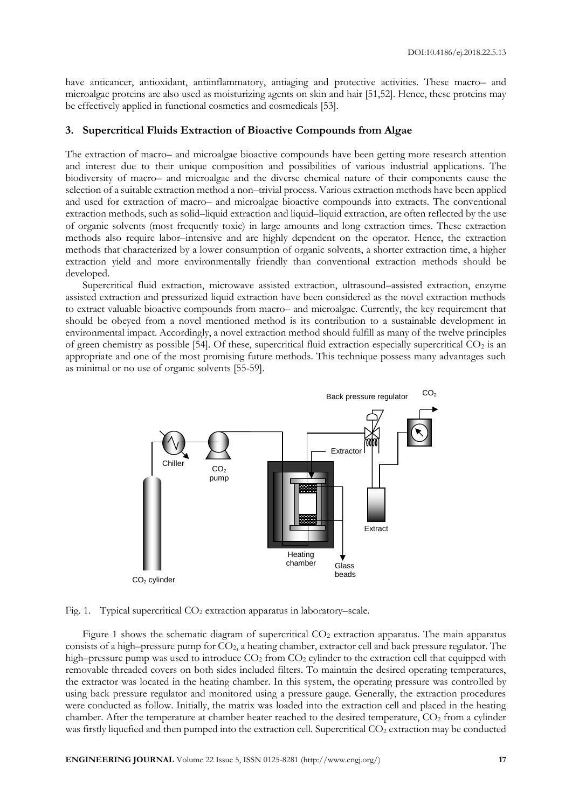have anticancer, antioxidant, antiinflammatory, antiaging and protective activities. These macro– and microalgae proteins are also used as moisturizing agents on skin and hair [51,52]. Hence, these proteins may be effectively applied in functional cosmetics and cosmedicals [53].

### **3. Supercritical Fluids Extraction of Bioactive Compounds from Algae**

The extraction of macro– and microalgae bioactive compounds have been getting more research attention and interest due to their unique composition and possibilities of various industrial applications. The biodiversity of macro– and microalgae and the diverse chemical nature of their components cause the selection of a suitable extraction method a non–trivial process. Various extraction methods have been applied and used for extraction of macro– and microalgae bioactive compounds into extracts. The conventional extraction methods, such as solid–liquid extraction and liquid–liquid extraction, are often reflected by the use of organic solvents (most frequently toxic) in large amounts and long extraction times. These extraction methods also require labor–intensive and are highly dependent on the operator. Hence, the extraction methods that characterized by a lower consumption of organic solvents, a shorter extraction time, a higher extraction yield and more environmentally friendly than conventional extraction methods should be developed.

Supercritical fluid extraction, microwave assisted extraction, ultrasound–assisted extraction, enzyme assisted extraction and pressurized liquid extraction have been considered as the novel extraction methods to extract valuable bioactive compounds from macro– and microalgae. Currently, the key requirement that should be obeyed from a novel mentioned method is its contribution to a sustainable development in environmental impact. Accordingly, a novel extraction method should fulfill as many of the twelve principles of green chemistry as possible [54]. Of these, supercritical fluid extraction especially supercritical  $CO<sub>2</sub>$  is an appropriate and one of the most promising future methods. This technique possess many advantages such as minimal or no use of organic solvents [55-59].



Fig. 1. Typical supercritical  $CO<sub>2</sub>$  extraction apparatus in laboratory–scale.

Figure 1 shows the schematic diagram of supercritical CO<sub>2</sub> extraction apparatus. The main apparatus consists of a high–pressure pump for  $CO<sub>2</sub>$ , a heating chamber, extractor cell and back pressure regulator. The high–pressure pump was used to introduce  $CO<sub>2</sub>$  from  $CO<sub>2</sub>$  cylinder to the extraction cell that equipped with removable threaded covers on both sides included filters. To maintain the desired operating temperatures, the extractor was located in the heating chamber. In this system, the operating pressure was controlled by using back pressure regulator and monitored using a pressure gauge. Generally, the extraction procedures were conducted as follow. Initially, the matrix was loaded into the extraction cell and placed in the heating chamber. After the temperature at chamber heater reached to the desired temperature, CO<sub>2</sub> from a cylinder was firstly liquefied and then pumped into the extraction cell. Supercritical CO<sub>2</sub> extraction may be conducted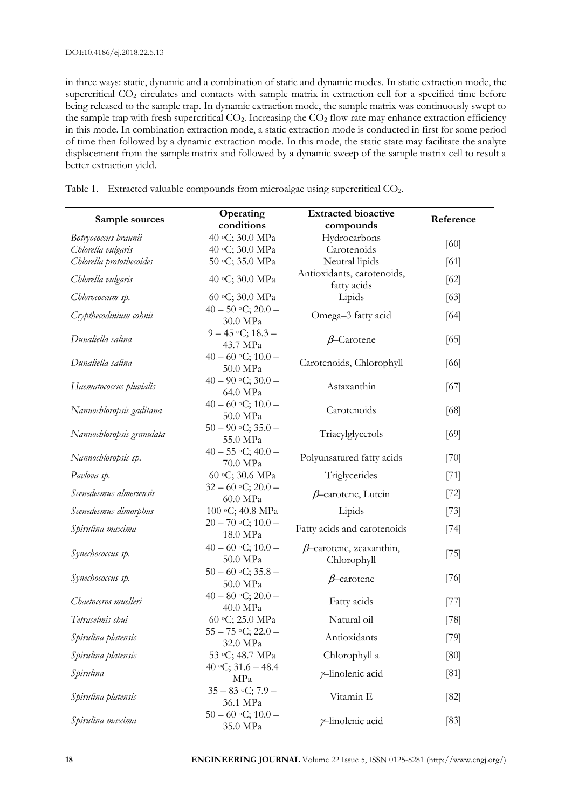in three ways: static, dynamic and a combination of static and dynamic modes. In static extraction mode, the supercritical CO<sub>2</sub> circulates and contacts with sample matrix in extraction cell for a specified time before being released to the sample trap. In dynamic extraction mode, the sample matrix was continuously swept to the sample trap with fresh supercritical  $CO<sub>2</sub>$ . Increasing the  $CO<sub>2</sub>$  flow rate may enhance extraction efficiency in this mode. In combination extraction mode, a static extraction mode is conducted in first for some period of time then followed by a dynamic extraction mode. In this mode, the static state may facilitate the analyte displacement from the sample matrix and followed by a dynamic sweep of the sample matrix cell to result a better extraction yield.

Table 1. Extracted valuable compounds from microalgae using supercritical CO<sub>2</sub>.

| Sample sources            | Operating<br>conditions            | <b>Extracted bioactive</b><br>compounds       | Reference |
|---------------------------|------------------------------------|-----------------------------------------------|-----------|
| Botryococcus braunii      | $\overline{40}$ °C; 30.0 MPa       | Hydrocarbons                                  | [60]      |
| Chlorella vulgaris        | 40 °C; 30.0 MPa                    | Carotenoids                                   |           |
| Chlorella protothecoides  | 50 °C; 35.0 MPa                    | Neutral lipids                                | [61]      |
| Chlorella vulgaris        | 40 °C; 30.0 MPa                    | Antioxidants, carotenoids,<br>fatty acids     | [62]      |
| Chlorococcum sp.          | 60 °C; 30.0 MPa                    | Lipids                                        | $[63]$    |
| Crypthecodinium cohnii    | $40 - 50$ °C; $20.0 -$<br>30.0 MPa | Omega-3 fatty acid                            | [64]      |
| Dunaliella salina         | $9 - 45$ °C; $18.3 -$<br>43.7 MPa  | $\beta$ -Carotene                             | [65]      |
| Dunaliella salina         | $40 - 60$ °C; $10.0 -$<br>50.0 MPa | Carotenoids, Chlorophyll                      | [66]      |
| Haematococcus pluvialis   | $40 - 90$ °C; $30.0 -$<br>64.0 MPa | Astaxanthin                                   | [67]      |
| Nannochloropsis gaditana  | $40 - 60$ °C; $10.0 -$<br>50.0 MPa | Carotenoids                                   | [68]      |
| Nannochloropsis granulata | $50 - 90$ °C; $35.0 -$<br>55.0 MPa | Triacylglycerols                              | [69]      |
| Nannochloropsis sp.       | $40 - 55$ °C; $40.0 -$<br>70.0 MPa | Polyunsatured fatty acids                     | [70]      |
| Pavlova sp.               | 60 °C; 30.6 MPa                    | Triglycerides                                 | $[71]$    |
| Scenedesmus almeriensis   | $32 - 60$ °C; $20.0 -$<br>60.0 MPa | $\beta$ -carotene, Lutein                     | $[72]$    |
| Scenedesmus dimorphus     | 100 °C; 40.8 MPa                   | Lipids                                        | $[73]$    |
| Spirulina maxima          | $20 - 70$ °C; $10.0 -$<br>18.0 MPa | Fatty acids and carotenoids                   | $[74]$    |
| Synechococcus sp.         | $40 - 60$ °C; $10.0 -$<br>50.0 MPa | $\beta$ -carotene, zeaxanthin,<br>Chlorophyll | $[75]$    |
| Synechococcus sp.         | $50 - 60$ °C; $35.8 -$<br>50.0 MPa | $\beta$ -carotene                             | $[76]$    |
| Chaetoceros muelleri      | $40 - 80$ °C; $20.0 -$<br>40.0 MPa | Fatty acids                                   | $[77]$    |
| Tetraselmis chui          | 60 °C; 25.0 MPa                    | Natural oil                                   | $[78]$    |
| Spirulina platensis       | $55 - 75$ °C; 22.0 –<br>32.0 MPa   | Antioxidants                                  | $[79]$    |
| Spirulina platensis       | 53 °C; 48.7 MPa                    | Chlorophyll a                                 | [80]      |
| Spirulina                 | 40 °C; 31.6 – 48.4<br>MPa          | y-linolenic acid                              | [81]      |
| Spirulina platensis       | $35 - 83$ °C; 7.9 –<br>36.1 MPa    | Vitamin E                                     | $[82]$    |
| Spirulina maxima          | $50 - 60$ °C; $10.0 -$<br>35.0 MPa | y-linolenic acid                              | [83]      |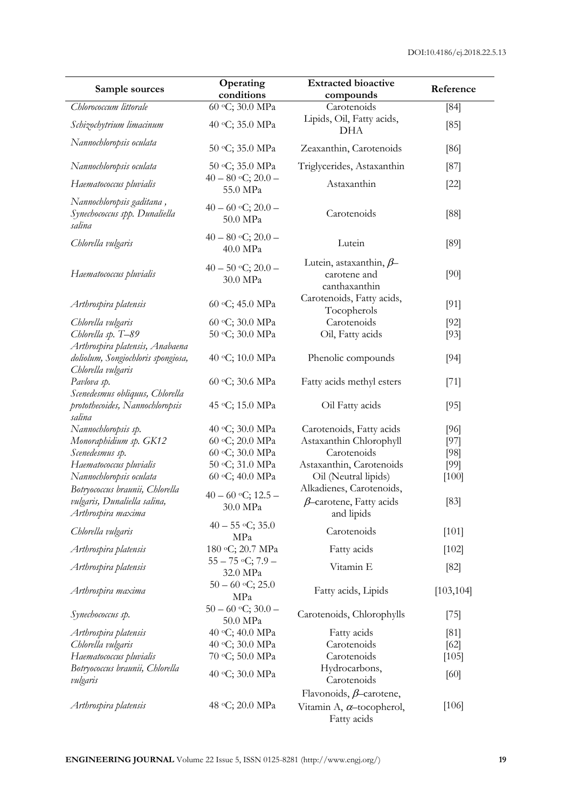| Sample sources                                                                              | Operating<br>conditions            | <b>Extracted bioactive</b><br>compounds                                   | Reference  |
|---------------------------------------------------------------------------------------------|------------------------------------|---------------------------------------------------------------------------|------------|
| Chlorococcum littorale                                                                      | 60 °C; 30.0 MPa                    | $\overline{\text{C}}$ arotenoids                                          | [84]       |
| Schizochytrium limacinum                                                                    | 40 °C; 35.0 MPa                    | Lipids, Oil, Fatty acids,<br><b>DHA</b>                                   | [85]       |
| Nannochloropsis oculata                                                                     | 50 °C; 35.0 MPa                    | Zeaxanthin, Carotenoids                                                   | [86]       |
| Nannochloropsis oculata                                                                     | 50 °C; 35.0 MPa                    | Triglycerides, Astaxanthin                                                | [87]       |
| Haematococcus pluvialis                                                                     | $40 - 80$ °C; $20.0 -$<br>55.0 MPa | Astaxanthin                                                               | $[22]$     |
| Nannochloropsis gaditana,<br>Synechococcus spp. Dunaliella<br>salina                        | $40 - 60$ °C; $20.0 -$<br>50.0 MPa | Carotenoids                                                               | [88]       |
| Chlorella vulgaris                                                                          | $40 - 80$ °C; $20.0 -$<br>40.0 MPa | Lutein                                                                    | [89]       |
| Haematococcus pluvialis                                                                     | $40 - 50$ °C; $20.0 -$<br>30.0 MPa | Lutein, astaxanthin, $\beta$<br>carotene and<br>canthaxanthin             | [90]       |
| Arthrospira platensis                                                                       | 60 °C; 45.0 MPa                    | Carotenoids, Fatty acids,<br>Tocopherols                                  | $[91]$     |
| Chlorella vulgaris                                                                          | 60 °C; 30.0 MPa                    | Carotenoids                                                               | [92]       |
| Chlorella sp. T-89                                                                          | 50 °C; 30.0 MPa                    | Oil, Fatty acids                                                          | $[93]$     |
| Arthrospira platensis, Anabaena<br>doliolum, Songiochloris spongiosa,<br>Chlorella vulgaris | 40 °C; 10.0 MPa                    | Phenolic compounds                                                        | $[94]$     |
| Pavlova sp.<br>Scenedesmus obliquus, Chlorella                                              | 60 °С; 30.6 МРа                    | Fatty acids methyl esters                                                 | $[71]$     |
| protothecoides, Nannochloropsis<br>salina                                                   | 45 °C; 15.0 MPa                    | Oil Fatty acids                                                           | $[95]$     |
| Nannochloropsis sp.                                                                         | 40 °C; 30.0 MPa                    | Carotenoids, Fatty acids                                                  | [96]       |
| Monoraphidium sp. GK12                                                                      | 60 °C; 20.0 MPa                    | Astaxanthin Chlorophyll                                                   | [97]       |
| Scenedesmus sp.                                                                             | 60 °C; 30.0 MPa                    | Carotenoids                                                               | [98]       |
| Haematococcus pluvialis                                                                     | 50 °C; 31.0 MPa                    | Astaxanthin, Carotenoids                                                  | [99]       |
| Nannochloropsis oculata                                                                     | 60 °C; 40.0 MPa                    | Oil (Neutral lipids)                                                      | $[100]$    |
| Botryococcus braunii, Chlorella                                                             | $40 - 60$ °C; $12.5 -$             | Alkadienes, Carotenoids,                                                  |            |
| vulgaris, Dunaliella salina,<br>Arthrospira maxima                                          | 30.0 MPa                           | $\beta$ -carotene, Fatty acids<br>and lipids                              | $[83]$     |
| Chlorella vulgaris                                                                          | $40 - 55$ °C; 35.0<br>MPa          | Carotenoids                                                               | [101]      |
| Arthrospira platensis                                                                       | 180 °C; 20.7 MPa                   | Fatty acids                                                               | $[102]$    |
| Arthrospira platensis                                                                       | $55 - 75$ °C; $7.9 -$<br>32.0 MPa  | Vitamin E                                                                 | $[82]$     |
| Arthrospira maxima                                                                          | $50 - 60$ °C; 25.0<br>MPa          | Fatty acids, Lipids                                                       | [103, 104] |
| Synechococcus sp.                                                                           | $50 - 60$ °C; $30.0 -$<br>50.0 MPa | Carotenoids, Chlorophylls                                                 | $[75]$     |
| Arthrospira platensis                                                                       | 40 °C; 40.0 MPa                    | Fatty acids                                                               | [81]       |
| Chlorella vulgaris                                                                          | 40 °C; 30.0 MPa                    | Carotenoids                                                               | [62]       |
| Haematococcus pluvialis                                                                     | 70 °C; 50.0 MPa                    | Carotenoids                                                               | [105]      |
| Botryococcus braunii, Chlorella<br>vulgaris                                                 | 40 °C; 30.0 MPa                    | Hydrocarbons,<br>Carotenoids                                              | [60]       |
| Arthrospira platensis                                                                       | 48 °C; 20.0 MPa                    | Flavonoids, $\beta$ -carotene,<br>Vitamin A, a-tocopherol,<br>Fatty acids | $[106]$    |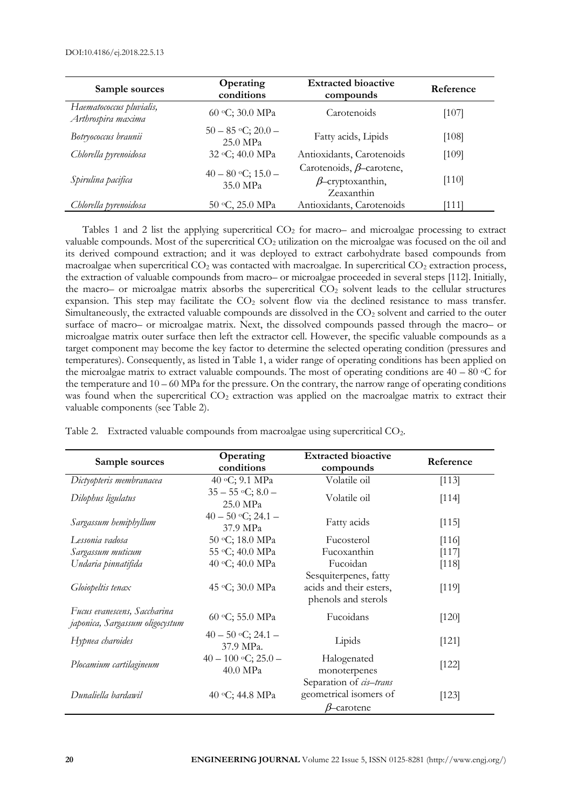| Sample sources                                 | Operating<br>conditions            | <b>Extracted bioactive</b><br>compounds                                  | Reference |
|------------------------------------------------|------------------------------------|--------------------------------------------------------------------------|-----------|
| Haematococcus pluvialis,<br>Arthrospira maxima | 60 °C; 30.0 MPa                    | Carotenoids                                                              | $[107]$   |
| Botryococcus braunii                           | $50 - 85$ °C; 20.0 –<br>25.0 MPa   | Fatty acids, Lipids                                                      | $[108]$   |
| Chlorella pyrenoidosa                          | 32 °C; 40.0 MPa                    | Antioxidants, Carotenoids                                                | [109]     |
| Spirulina pacifica                             | $40 - 80$ °C; $15.0 -$<br>35.0 MPa | Carotenoids, $\beta$ -carotene,<br>$\beta$ -cryptoxanthin,<br>Zeaxanthin | $[110]$   |
| Chlorella pyrenoidosa                          | 50 °C, 25.0 MPa                    | Antioxidants, Carotenoids                                                | [111]     |

Tables 1 and 2 list the applying supercritical  $CO<sub>2</sub>$  for macro– and microalgae processing to extract valuable compounds. Most of the supercritical  $CO<sub>2</sub>$  utilization on the microalgae was focused on the oil and its derived compound extraction; and it was deployed to extract carbohydrate based compounds from macroalgae when supercritical  $CO<sub>2</sub>$  was contacted with macroalgae. In supercritical  $CO<sub>2</sub>$  extraction process, the extraction of valuable compounds from macro– or microalgae proceeded in several steps [112]. Initially, the macro– or microalgae matrix absorbs the supercritical  $CO<sub>2</sub>$  solvent leads to the cellular structures expansion. This step may facilitate the  $CO<sub>2</sub>$  solvent flow via the declined resistance to mass transfer. Simultaneously, the extracted valuable compounds are dissolved in the  $CO<sub>2</sub>$  solvent and carried to the outer surface of macro– or microalgae matrix. Next, the dissolved compounds passed through the macro– or microalgae matrix outer surface then left the extractor cell. However, the specific valuable compounds as a target component may become the key factor to determine the selected operating condition (pressures and temperatures). Consequently, as listed in Table 1, a wider range of operating conditions has been applied on the microalgae matrix to extract valuable compounds. The most of operating conditions are  $40 - 80$  °C for the temperature and  $10 - 60$  MPa for the pressure. On the contrary, the narrow range of operating conditions was found when the supercritical  $CO<sub>2</sub>$  extraction was applied on the macroalgae matrix to extract their valuable components (see Table 2).

| Sample sources                                                  | Operating<br>conditions           | <b>Extracted bioactive</b><br>compounds                                 | Reference |
|-----------------------------------------------------------------|-----------------------------------|-------------------------------------------------------------------------|-----------|
| Dictyopteris membranacea                                        | 40 °C; 9.1 MPa                    | Volatile oil                                                            | [113]     |
| Dilophus ligulatus                                              | $35 - 55$ °C; $8.0 -$<br>25.0 MPa | Volatile oil                                                            | [114]     |
| Sargassum hemiphyllum                                           | $40 - 50$ °C; 24.1 –<br>37.9 MPa  | Fatty acids                                                             | [115]     |
| Lessonia vadosa                                                 | 50 °C; 18.0 MPa                   | Fucosterol                                                              | [116]     |
| Sargassum muticum                                               | 55 °C; 40.0 MPa                   | Fucoxanthin                                                             | [117]     |
| Undaria pinnatifida                                             | 40 °C; 40.0 MPa                   | Fucoidan                                                                | [118]     |
| Gloiopeltis tenax                                               | 45 °C; 30.0 MPa                   | Sesquiterpenes, fatty<br>acids and their esters,<br>phenols and sterols | [119]     |
| Fucus evanescens, Saccharina<br>japonica, Sargassum oligocystum | 60 °C; 55.0 MPa                   | Fucoidans                                                               | $[120]$   |
| Hypnea charoides                                                | $40 - 50$ °C; 24.1 –<br>37.9 MPa. | Lipids                                                                  | [121]     |
| Plocamium cartilagineum                                         | $40 - 100$ °C; 25.0 –<br>40.0 MPa | Halogenated<br>monoterpenes                                             | $[122]$   |
| Dunaliella bardawil                                             | 40 °C; 44.8 MPa                   | Separation of cis-trans<br>geometrical isomers of<br>$\beta$ -carotene  | [123]     |

Table 2. Extracted valuable compounds from macroalgae using supercritical CO<sub>2</sub>.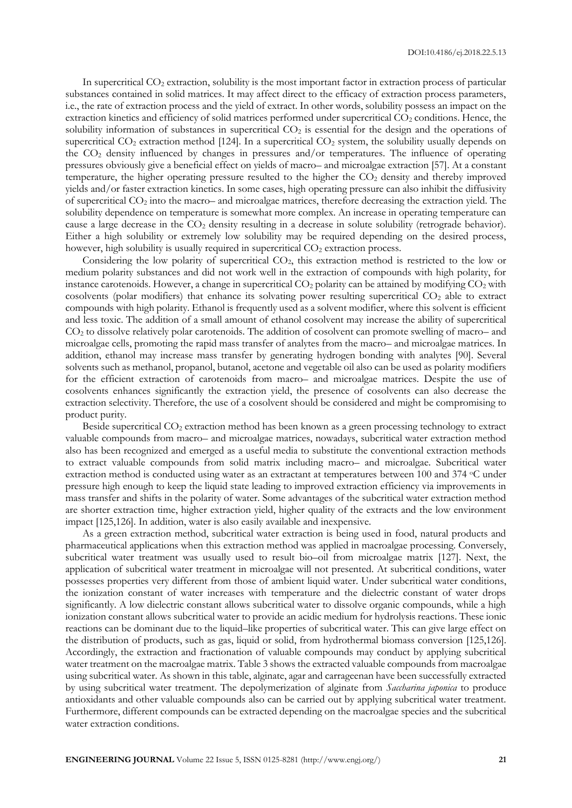In supercritical  $CO<sub>2</sub>$  extraction, solubility is the most important factor in extraction process of particular substances contained in solid matrices. It may affect direct to the efficacy of extraction process parameters, i.e., the rate of extraction process and the yield of extract. In other words, solubility possess an impact on the extraction kinetics and efficiency of solid matrices performed under supercritical CO<sub>2</sub> conditions. Hence, the solubility information of substances in supercritical  $CO<sub>2</sub>$  is essential for the design and the operations of supercritical CO<sub>2</sub> extraction method [124]. In a supercritical CO<sub>2</sub> system, the solubility usually depends on the CO<sup>2</sup> density influenced by changes in pressures and/or temperatures. The influence of operating pressures obviously give a beneficial effect on yields of macro– and microalgae extraction [57]. At a constant temperature, the higher operating pressure resulted to the higher the CO<sub>2</sub> density and thereby improved yields and/or faster extraction kinetics. In some cases, high operating pressure can also inhibit the diffusivity of supercritical CO<sup>2</sup> into the macro– and microalgae matrices, therefore decreasing the extraction yield. The solubility dependence on temperature is somewhat more complex. An increase in operating temperature can cause a large decrease in the CO<sub>2</sub> density resulting in a decrease in solute solubility (retrograde behavior). Either a high solubility or extremely low solubility may be required depending on the desired process, however, high solubility is usually required in supercritical  $CO<sub>2</sub>$  extraction process.

Considering the low polarity of supercritical CO2, this extraction method is restricted to the low or medium polarity substances and did not work well in the extraction of compounds with high polarity, for instance carotenoids. However, a change in supercritical  $CO<sub>2</sub>$  polarity can be attained by modifying  $CO<sub>2</sub>$  with cosolvents (polar modifiers) that enhance its solvating power resulting supercritical  $CO<sub>2</sub>$  able to extract compounds with high polarity. Ethanol is frequently used as a solvent modifier, where this solvent is efficient and less toxic. The addition of a small amount of ethanol cosolvent may increase the ability of supercritical CO<sup>2</sup> to dissolve relatively polar carotenoids. The addition of cosolvent can promote swelling of macro– and microalgae cells, promoting the rapid mass transfer of analytes from the macro– and microalgae matrices. In addition, ethanol may increase mass transfer by generating hydrogen bonding with analytes [90]. Several solvents such as methanol, propanol, butanol, acetone and vegetable oil also can be used as polarity modifiers for the efficient extraction of carotenoids from macro– and microalgae matrices. Despite the use of cosolvents enhances significantly the extraction yield, the presence of cosolvents can also decrease the extraction selectivity. Therefore, the use of a cosolvent should be considered and might be compromising to product purity.

Beside supercritical CO<sub>2</sub> extraction method has been known as a green processing technology to extract valuable compounds from macro– and microalgae matrices, nowadays, subcritical water extraction method also has been recognized and emerged as a useful media to substitute the conventional extraction methods to extract valuable compounds from solid matrix including macro– and microalgae. Subcritical water extraction method is conducted using water as an extractant at temperatures between 100 and 374 °C under pressure high enough to keep the liquid state leading to improved extraction efficiency via improvements in mass transfer and shifts in the polarity of water. Some advantages of the subcritical water extraction method are shorter extraction time, higher extraction yield, higher quality of the extracts and the low environment impact [125,126]. In addition, water is also easily available and inexpensive.

As a green extraction method, subcritical water extraction is being used in food, natural products and pharmaceutical applications when this extraction method was applied in macroalgae processing. Conversely, subcritical water treatment was usually used to result bio–oil from microalgae matrix [127]. Next, the application of subcritical water treatment in microalgae will not presented. At subcritical conditions, water possesses properties very different from those of ambient liquid water. Under subcritical water conditions, the ionization constant of water increases with temperature and the dielectric constant of water drops significantly. A low dielectric constant allows subcritical water to dissolve organic compounds, while a high ionization constant allows subcritical water to provide an acidic medium for hydrolysis reactions. These ionic reactions can be dominant due to the liquid–like properties of subcritical water. This can give large effect on the distribution of products, such as gas, liquid or solid, from hydrothermal biomass conversion [125,126]. Accordingly, the extraction and fractionation of valuable compounds may conduct by applying subcritical water treatment on the macroalgae matrix. Table 3 shows the extracted valuable compounds from macroalgae using subcritical water. As shown in this table, alginate, agar and carrageenan have been successfully extracted by using subcritical water treatment. The depolymerization of alginate from *Saccharina japonica* to produce antioxidants and other valuable compounds also can be carried out by applying subcritical water treatment. Furthermore, different compounds can be extracted depending on the macroalgae species and the subcritical water extraction conditions.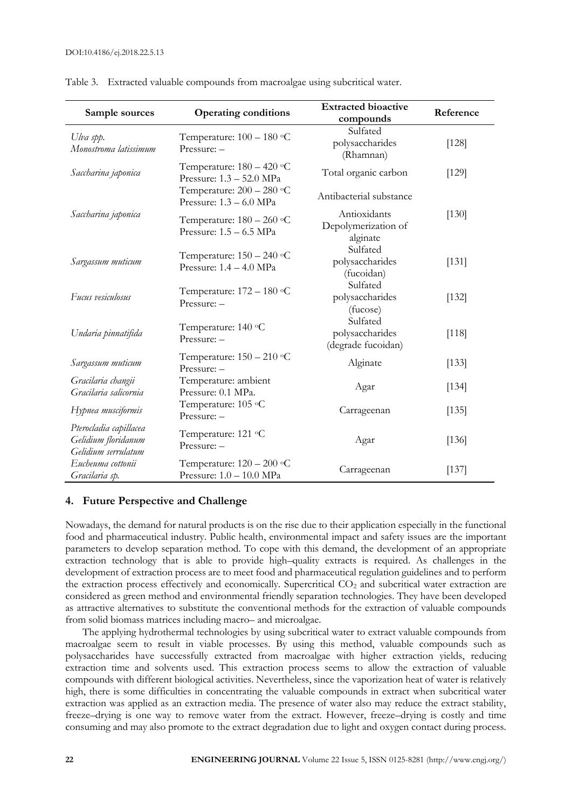| Sample sources                                                       | <b>Operating conditions</b>                               | <b>Extracted bioactive</b><br>compounds           | Reference |
|----------------------------------------------------------------------|-----------------------------------------------------------|---------------------------------------------------|-----------|
| Ulva spp.<br>Monostroma latissimum                                   | Temperature: $100 - 180$ °C<br>$Pressure: -$              | Sulfated<br>polysaccharides<br>(Rhamnan)          | [128]     |
| Saccharina japonica                                                  | Temperature: $180 - 420$ °C<br>Pressure: 1.3 - 52.0 MPa   | Total organic carbon                              | [129]     |
|                                                                      | Temperature: $200 - 280$ °C<br>Pressure: $1.3 - 6.0$ MPa  | Antibacterial substance                           |           |
| Saccharina japonica                                                  | Temperature: $180 - 260$ °C<br>Pressure: $1.5 - 6.5$ MPa  | Antioxidants<br>Depolymerization of<br>alginate   | [130]     |
| Sargassum muticum                                                    | Temperature: 150 - 240 °C<br>Pressure: $1.4 - 4.0$ MPa    | Sulfated<br>polysaccharides<br>(fucoidan)         | [131]     |
| Fucus vesiculosus                                                    | Temperature: 172 - 180 °C<br>$Pressure: -$                | Sulfated<br>polysaccharides<br>(fucose)           | [132]     |
| Undaria pinnatifida                                                  | Temperature: 140 °C<br>$Pressure: -$                      | Sulfated<br>polysaccharides<br>(degrade fucoidan) | [118]     |
| Sargassum muticum                                                    | Temperature: $150 - 210$ °C<br>Pressure: -                | Alginate                                          | [133]     |
| Gracilaria changii<br>Gracilaria salicornia                          | Temperature: ambient<br>Pressure: 0.1 MPa.                | Agar                                              | [134]     |
| Hypnea musciformis                                                   | Temperature: 105 °C<br>$Pressure: -$                      | Carrageenan                                       | [135]     |
| Pterocladia capillacea<br>Gelidium floridanum<br>Gelidium serrulatum | Temperature: 121 °C<br>Pressure: -                        | Agar                                              | [136]     |
| Eucheuma cottonii<br>Gracilaria sp.                                  | Temperature: $120 - 200$ °C<br>Pressure: $1.0 - 10.0$ MPa | Carrageenan                                       | [137]     |

Table 3. Extracted valuable compounds from macroalgae using subcritical water.

## **4. Future Perspective and Challenge**

Nowadays, the demand for natural products is on the rise due to their application especially in the functional food and pharmaceutical industry. Public health, environmental impact and safety issues are the important parameters to develop separation method. To cope with this demand, the development of an appropriate extraction technology that is able to provide high–quality extracts is required. As challenges in the development of extraction process are to meet food and pharmaceutical regulation guidelines and to perform the extraction process effectively and economically. Supercritical CO<sub>2</sub> and subcritical water extraction are considered as green method and environmental friendly separation technologies. They have been developed as attractive alternatives to substitute the conventional methods for the extraction of valuable compounds from solid biomass matrices including macro– and microalgae.

The applying hydrothermal technologies by using subcritical water to extract valuable compounds from macroalgae seem to result in viable processes. By using this method, valuable compounds such as polysaccharides have successfully extracted from macroalgae with higher extraction yields, reducing extraction time and solvents used. This extraction process seems to allow the extraction of valuable compounds with different biological activities. Nevertheless, since the vaporization heat of water is relatively high, there is some difficulties in concentrating the valuable compounds in extract when subcritical water extraction was applied as an extraction media. The presence of water also may reduce the extract stability, freeze–drying is one way to remove water from the extract. However, freeze–drying is costly and time consuming and may also promote to the extract degradation due to light and oxygen contact during process.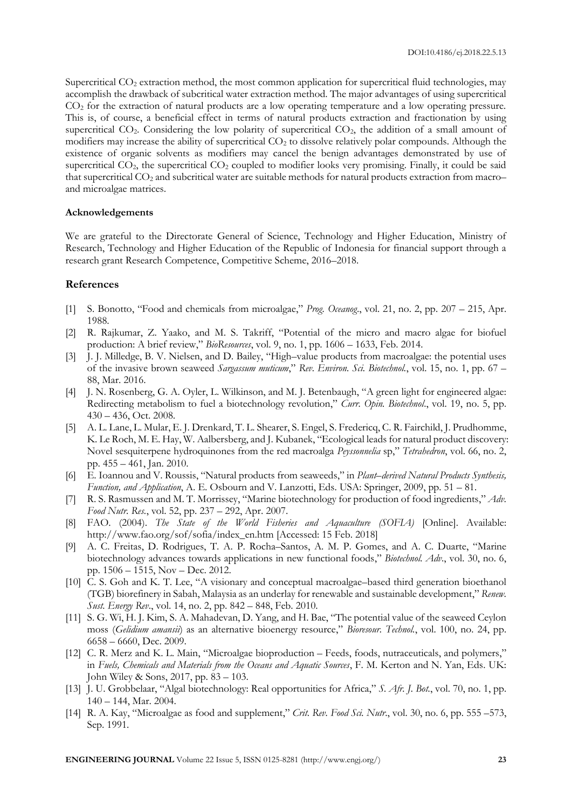Supercritical CO<sub>2</sub> extraction method, the most common application for supercritical fluid technologies, may accomplish the drawback of subcritical water extraction method. The major advantages of using supercritical CO<sup>2</sup> for the extraction of natural products are a low operating temperature and a low operating pressure. This is, of course, a beneficial effect in terms of natural products extraction and fractionation by using supercritical CO<sub>2</sub>. Considering the low polarity of supercritical CO<sub>2</sub>, the addition of a small amount of modifiers may increase the ability of supercritical CO<sub>2</sub> to dissolve relatively polar compounds. Although the existence of organic solvents as modifiers may cancel the benign advantages demonstrated by use of supercritical CO<sub>2</sub>, the supercritical CO<sub>2</sub> coupled to modifier looks very promising. Finally, it could be said that supercritical  $CO_2$  and subcritical water are suitable methods for natural products extraction from macro– and microalgae matrices.

#### **Acknowledgements**

We are grateful to the Directorate General of Science, Technology and Higher Education, Ministry of Research, Technology and Higher Education of the Republic of Indonesia for financial support through a research grant Research Competence, Competitive Scheme, 2016–2018.

#### **References**

- [1] S. Bonotto, "Food and chemicals from microalgae," *Prog. Oceanog*., vol. 21, no. 2, pp. 207 215, Apr. 1988.
- [2] R. Rajkumar, Z. Yaako, and M. S. Takriff, "Potential of the micro and macro algae for biofuel production: A brief review," *BioResources*, vol. 9, no. 1, pp. 1606 – 1633, Feb. 2014.
- [3] J. J. Milledge, B. V. Nielsen, and D. Bailey, "High–value products from macroalgae: the potential uses of the invasive brown seaweed *Sargassum muticum*," *Rev. Environ. Sci. Biotechnol.*, vol. 15, no. 1, pp. 67 – 88, Mar. 2016.
- [4] J. N. Rosenberg, G. A. Oyler, L. Wilkinson, and M. J. Betenbaugh, "A green light for engineered algae: Redirecting metabolism to fuel a biotechnology revolution," *Curr. Opin. Biotechnol*., vol. 19, no. 5, pp. 430 – 436, Oct. 2008.
- [5] A. L. Lane, L. Mular, E. J. Drenkard, T. L. Shearer, S. Engel, S. Fredericq, C. R. Fairchild, J. Prudhomme, K. Le Roch, M. E. Hay, W. Aalbersberg, and J. Kubanek, "Ecological leads for natural product discovery: Novel sesquiterpene hydroquinones from the red macroalga *Peyssonnelia* sp," *Tetrahedron*, vol. 66, no. 2, pp. 455 – 461, Jan. 2010.
- [6] E. Ioannou and V. Roussis, "Natural products from seaweeds," in *Plant–derived Natural Products Synthesis, Function, and Application*, A. E. Osbourn and V. Lanzotti, Eds. USA: Springer, 2009, pp. 51 – 81.
- [7] R. S. Rasmussen and M. T. Morrissey, "Marine biotechnology for production of food ingredients," *Adv. Food Nutr. Res.*, vol. 52, pp. 237 – 292, Apr. 2007.
- [8] FAO. (2004). *The State of the World Fisheries and Aquaculture (SOFIA)* [Online]. Available: http://www.fao.org/sof/sofia/index\_en.htm [Accessed: 15 Feb. 2018]
- [9] A. C. Freitas, D. Rodrigues, T. A. P. Rocha–Santos, A. M. P. Gomes, and A. C. Duarte, "Marine biotechnology advances towards applications in new functional foods," *Biotechnol. Adv*., vol. 30, no. 6, pp. 1506 – 1515, Nov – Dec. 2012.
- [10] C. S. Goh and K. T. Lee, "A visionary and conceptual macroalgae–based third generation bioethanol (TGB) biorefinery in Sabah, Malaysia as an underlay for renewable and sustainable development," *Renew. Sust. Energy Rev*., vol. 14, no. 2, pp. 842 – 848, Feb. 2010.
- [11] S. G. Wi, H. J. Kim, S. A. Mahadevan, D. Yang, and H. Bae, "The potential value of the seaweed Ceylon moss (*Gelidium amansii*) as an alternative bioenergy resource," *Bioresour. Technol.*, vol. 100, no. 24, pp. 6658 – 6660, Dec. 2009.
- [12] C. R. Merz and K. L. Main, "Microalgae bioproduction Feeds, foods, nutraceuticals, and polymers," in *Fuels, Chemicals and Materials from the Oceans and Aquatic Sources*, F. M. Kerton and N. Yan, Eds. UK: John Wiley & Sons, 2017, pp. 83 – 103.
- [13] J. U. Grobbelaar, "Algal biotechnology: Real opportunities for Africa," *S. Afr. J. Bot.*, vol. 70, no. 1, pp. 140 – 144, Mar. 2004.
- [14] R. A. Kay, "Microalgae as food and supplement," *Crit. Rev. Food Sci. Nutr.*, vol. 30, no. 6, pp. 555 –573, Sep. 1991.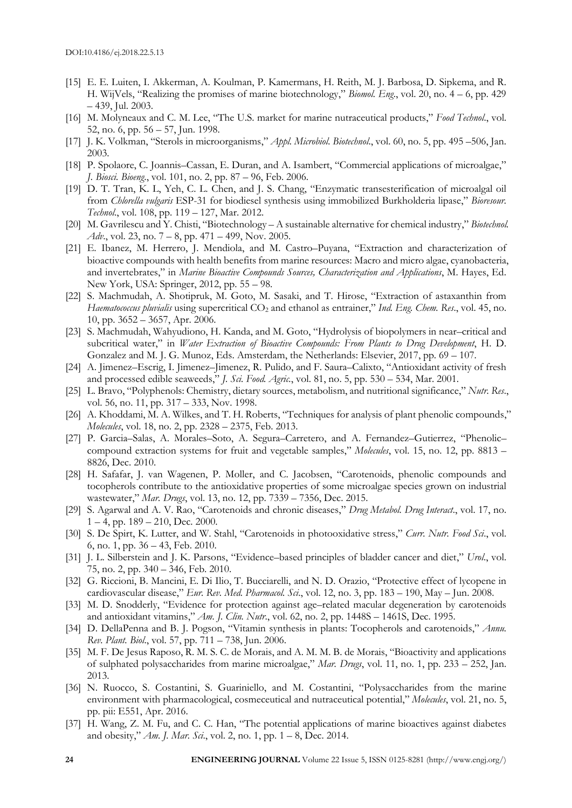- [15] E. E. Luiten, I. Akkerman, A. Koulman, P. Kamermans, H. Reith, M. J. Barbosa, D. Sipkema, and R. H. WijVels, "Realizing the promises of marine biotechnology," *Biomol. Eng*., vol. 20, no. 4 – 6, pp. 429 – 439, Jul. 2003.
- [16] M. Molyneaux and C. M. Lee, "The U.S. market for marine nutraceutical products," *Food Technol*., vol. 52, no. 6, pp. 56 – 57, Jun. 1998.
- [17] J. K. Volkman, "Sterols in microorganisms," *Appl. Microbiol. Biotechnol*., vol. 60, no. 5, pp. 495 –506, Jan. 2003.
- [18] P. Spolaore, C. Joannis–Cassan, E. Duran, and A. Isambert, "Commercial applications of microalgae," *J. Biosci. Bioeng*., vol. 101, no. 2, pp. 87 – 96, Feb. 2006.
- [19] D. T. Tran, K. L, Yeh, C. L. Chen, and J. S. Chang, "Enzymatic transesterification of microalgal oil from *Chlorella vulgaris* ESP-31 for biodiesel synthesis using immobilized Burkholderia lipase," *Bioresour. Technol*., vol. 108, pp. 119 – 127, Mar. 2012.
- [20] M. Gavrilescu and Y. Chisti, "Biotechnology A sustainable alternative for chemical industry," *Biotechnol. Adv*., vol. 23, no. 7 – 8, pp. 471 – 499, Nov. 2005.
- [21] E. Ibanez, M. Herrero, J. Mendiola, and M. Castro–Puyana, "Extraction and characterization of bioactive compounds with health benefits from marine resources: Macro and micro algae, cyanobacteria, and invertebrates," in *Marine Bioactive Compounds Sources, Characterization and Applications*, M. Hayes, Ed. New York, USA: Springer, 2012, pp. 55 – 98.
- [22] S. Machmudah, A. Shotipruk, M. Goto, M. Sasaki, and T. Hirose, "Extraction of astaxanthin from *Haematococcus pluvialis* using supercritical CO<sup>2</sup> and ethanol as entrainer," *Ind. Eng. Chem. Res*., vol. 45, no. 10, pp. 3652 – 3657, Apr. 2006.
- [23] S. Machmudah, Wahyudiono, H. Kanda, and M. Goto, "Hydrolysis of biopolymers in near–critical and subcritical water," in *Water Extraction of Bioactive Compounds: From Plants to Drug Development*, H. D. Gonzalez and M. J. G. Munoz, Eds. Amsterdam, the Netherlands: Elsevier, 2017, pp. 69 – 107.
- [24] A. Jimenez–Escrig, I. Jimenez–Jimenez, R. Pulido, and F. Saura–Calixto, "Antioxidant activity of fresh and processed edible seaweeds," *J. Sci. Food. Agric.*, vol. 81, no. 5, pp. 530 – 534, Mar. 2001.
- [25] L. Bravo, "Polyphenols: Chemistry, dietary sources, metabolism, and nutritional significance," *Nutr. Res*., vol. 56, no. 11, pp. 317 – 333, Nov. 1998.
- [26] A. Khoddami, M. A. Wilkes, and T. H. Roberts, "Techniques for analysis of plant phenolic compounds," *Molecules*, vol. 18, no. 2, pp. 2328 – 2375, Feb. 2013.
- [27] P. Garcia–Salas, A. Morales–Soto, A. Segura–Carretero, and A. Fernandez–Gutierrez, "Phenolic– compound extraction systems for fruit and vegetable samples," *Molecules*, vol. 15, no. 12, pp. 8813 – 8826, Dec. 2010.
- [28] H. Safafar, J. van Wagenen, P. Moller, and C. Jacobsen, "Carotenoids, phenolic compounds and tocopherols contribute to the antioxidative properties of some microalgae species grown on industrial wastewater," *Mar. Drugs*, vol. 13, no. 12, pp. 7339 – 7356, Dec. 2015.
- [29] S. Agarwal and A. V. Rao, "Carotenoids and chronic diseases," *Drug Metabol. Drug Interact*., vol. 17, no.  $1 - 4$ , pp.  $189 - 210$ , Dec.  $2000$ .
- [30] S. De Spirt, K. Lutter, and W. Stahl, "Carotenoids in photooxidative stress," *Curr. Nutr. Food Sci*., vol. 6, no. 1, pp. 36 – 43, Feb. 2010.
- [31] J. L. Silberstein and J. K. Parsons, "Evidence–based principles of bladder cancer and diet," *Urol*., vol. 75, no. 2, pp. 340 – 346, Feb. 2010.
- [32] G. Riccioni, B. Mancini, E. Di Ilio, T. Bucciarelli, and N. D. Orazio, "Protective effect of lycopene in cardiovascular disease," *Eur. Rev. Med. Pharmacol. Sci*., vol. 12, no. 3, pp. 183 – 190, May – Jun. 2008.
- [33] M. D. Snodderly, "Evidence for protection against age–related macular degeneration by carotenoids and antioxidant vitamins," *Am. J. Clin. Nutr*., vol. 62, no. 2, pp. 1448S – 1461S, Dec. 1995.
- [34] D. DellaPenna and B. J. Pogson, "Vitamin synthesis in plants: Tocopherols and carotenoids," *Annu. Rev. Plant. Biol*., vol. 57, pp. 711 – 738, Jun. 2006.
- [35] M. F. De Jesus Raposo, R. M. S. C. de Morais, and A. M. M. B. de Morais, "Bioactivity and applications of sulphated polysaccharides from marine microalgae," *Mar. Drugs*, vol. 11, no. 1, pp. 233 – 252, Jan. 2013.
- [36] N. Ruocco, S. Costantini, S. Guariniello, and M. Costantini, "Polysaccharides from the marine environment with pharmacological, cosmeceutical and nutraceutical potential," *Molecules*, vol. 21, no. 5, pp. pii: E551, Apr. 2016.
- [37] H. Wang, Z. M. Fu, and C. C. Han, "The potential applications of marine bioactives against diabetes and obesity," *Am. J. Mar. Sci*., vol. 2, no. 1, pp. 1 – 8, Dec. 2014.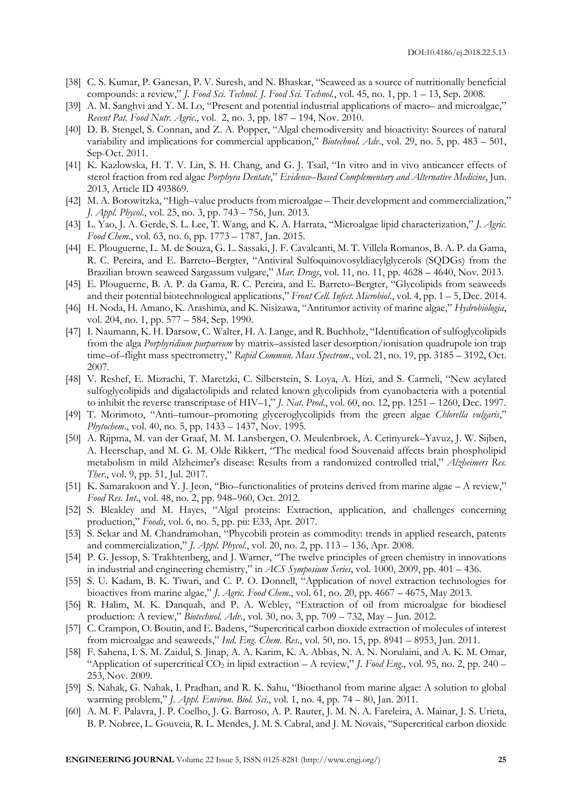- [38] C. S. Kumar, P. Ganesan, P. V. Suresh, and N. Bhaskar, "Seaweed as a source of nutritionally beneficial compounds: a review," *J. Food Sci. Technol. J. Food Sci. Technol.*, vol. 45, no. 1, pp. 1 – 13, Sep. 2008.
- [39] A. M. Sanghvi and Y. M. Lo, "Present and potential industrial applications of macro– and microalgae," *Recent Pat. Food Nutr. Agric*., vol. 2, no. 3, pp. 187 – 194, Nov. 2010.
- [40] D. B. Stengel, S. Connan, and Z. A. Popper, "Algal chemodiversity and bioactivity: Sources of natural variability and implications for commercial application," *Biotechnol. Adv*., vol. 29, no. 5, pp. 483 – 501, Sep-Oct. 2011.
- [41] K. Kazlowska, H. T. V. Lin, S. H. Chang, and G. J. Tsail, "In vitro and in vivo anticancer effects of sterol fraction from red algae *Porphyra Dentate*," *Evidence–Based Complementary and Alternative Medicine*, Jun. 2013, Article ID 493869.
- [42] M. A. Borowitzka, "High–value products from microalgae Their development and commercialization," *J. Appl. Phycol*., vol. 25, no. 3, pp. 743 – 756, Jun. 2013.
- [43] L. Yao, J. A. Gerde, S. L. Lee, T. Wang, and K. A. Harrata, "Microalgae lipid characterization," *J. Agric. Food Chem.*, vol. 63, no. 6, pp. 1773 – 1787, Jan. 2015.
- [44] E. Plouguerne, L. M. de Souza, G. L. Sassaki, J. F. Cavalcanti, M. T. Villela Romanos, B. A. P. da Gama, R. C. Pereira, and E. Barreto–Bergter, "Antiviral Sulfoquinovosyldiacylglycerols (SQDGs) from the Brazilian brown seaweed Sargassum vulgare," *Mar. Drugs*, vol. 11, no. 11, pp. 4628 – 4640, Nov. 2013.
- [45] E. Plouguerne, B. A. P. da Gama, R. C. Pereira, and E. Barreto–Bergter, "Glycolipids from seaweeds and their potential biotechnological applications," *Front Cell. Infect. Microbiol*., vol. 4, pp. 1 – 5, Dec. 2014.
- [46] H. Noda, H. Amano, K. Arashima, and K. Nisizawa, "Antitumor activity of marine algae," *Hydrobiologia*, vol. 204, no. 1, pp. 577 – 584, Sep. 1990.
- [47] I. Naumann, K. H. Darsow, C. Walter, H. A. Lange, and R. Buchholz, "Identification of sulfoglycolipids from the alga *Porphyridium purpureum* by matrix–assisted laser desorption/ionisation quadrupole ion trap time–of–flight mass spectrometry," *Rapid Commun. Mass Spectrom*., vol. 21, no. 19, pp. 3185 – 3192, Oct. 2007.
- [48] V. Reshef, E. Mizrachi, T. Maretzki, C. Silberstein, S. Loya, A. Hizi, and S. Carmeli, "New acylated sulfoglycolipids and digalactolipids and related known glycolipids from cyanobacteria with a potential to inhibit the reverse transcriptase of HIV–1," *J. Nat. Prod*., vol. 60, no. 12, pp. 1251 – 1260, Dec. 1997.
- [49] T. Morimoto, "Anti–tumour–promoting glyceroglycolipids from the green algae *Chlorella vulgaris*," *Phytochem*., vol. 40, no. 5, pp. 1433 – 1437, Nov. 1995.
- [50] A. Rijpma, M. van der Graaf, M. M. Lansbergen, O. Meulenbroek, A. Cetinyurek–Yavuz, J. W. Sijben, A. Heerschap, and M. G. M. Olde Rikkert, "The medical food Souvenaid affects brain phospholipid metabolism in mild Alzheimer's disease: Results from a randomized controlled trial," *Alzheimers Res. Ther*., vol. 9, pp. 51, Jul. 2017.
- [51] K. Samarakoon and Y. J. Jeon, "Bio–functionalities of proteins derived from marine algae A review," *Food Res. Int*., vol. 48, no. 2, pp. 948–960, Oct. 2012.
- [52] S. Bleakley and M. Hayes, "Algal proteins: Extraction, application, and challenges concerning production," *Foods*, vol. 6, no. 5, pp. pii: E33, Apr. 2017.
- [53] S. Sekar and M. Chandramohan, "Phycobili protein as commodity: trends in applied research, patents and commercialization," *J. Appl. Phycol*., vol. 20, no. 2, pp. 113 – 136, Apr. 2008.
- [54] P. G. Jessop, S. Trakhtenberg, and J. Warner, "The twelve principles of green chemistry in innovations in industrial and engineering chemistry," in *ACS Symposium Series*, vol. 1000, 2009, pp. 401 – 436.
- [55] S. U. Kadam, B. K. Tiwari, and C. P. O. Donnell, "Application of novel extraction technologies for bioactives from marine algae," *J. Agric. Food Chem*., vol. 61, no. 20, pp. 4667 – 4675, May 2013.
- [56] R. Halim, M. K. Danquah, and P. A. Webley, "Extraction of oil from microalgae for biodiesel production: A review," *Biotechnol. Adv*., vol. 30, no. 3, pp. 709 – 732, May – Jun. 2012.
- [57] C. Crampon, O. Boutin, and E. Badens, "Supercritical carbon dioxide extraction of molecules of interest from microalgae and seaweeds," *Ind. Eng. Chem. Res*., vol. 50, no. 15, pp. 8941 – 8953, Jun. 2011.
- [58] F. Sahena, I. S. M. Zaidul, S. Jinap, A. A. Karim, K. A. Abbas, N. A. N. Norulaini, and A. K. M. Omar, "Application of supercritical  $CO_2$  in lipid extraction – A review," *J. Food Eng.*, vol. 95, no. 2, pp. 240 – 253, Nov. 2009.
- [59] S. Nahak, G. Nahak, I. Pradhan, and R. K. Sahu, "Bioethanol from marine algae: A solution to global warming problem," *J. Appl. Environ. Biol. Sci*., vol. 1, no. 4, pp. 74 – 80, Jan. 2011.
- [60] A. M. F. Palavra, J. P. Coelho, J. G. Barroso, A. P. Rauter, J. M. N. A. Fareleira, A. Mainar, J. S. Urieta, B. P. Nobree, L. Gouveia, R. L. Mendes, J. M. S. Cabral, and J. M. Novais, "Supercritical carbon dioxide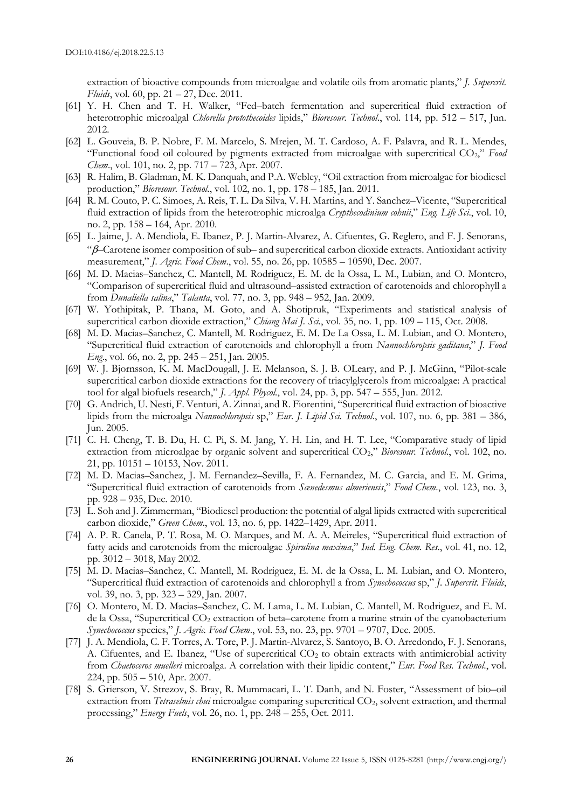extraction of bioactive compounds from microalgae and volatile oils from aromatic plants," *J. Supercrit. Fluids*, vol. 60, pp. 21 – 27, Dec. 2011.

- [61] Y. H. Chen and T. H. Walker, "Fed–batch fermentation and supercritical fluid extraction of heterotrophic microalgal *Chlorella protothecoides* lipids," *Bioresour. Technol*., vol. 114, pp. 512 – 517, Jun. 2012.
- [62] L. Gouveia, B. P. Nobre, F. M. Marcelo, S. Mrejen, M. T. Cardoso, A. F. Palavra, and R. L. Mendes, "Functional food oil coloured by pigments extracted from microalgae with supercritical CO2," *Food Chem*., vol. 101, no. 2, pp. 717 – 723, Apr. 2007.
- [63] R. Halim, B. Gladman, M. K. Danquah, and P.A. Webley, "Oil extraction from microalgae for biodiesel production," *Bioresour. Technol*., vol. 102, no. 1, pp. 178 – 185, Jan. 2011.
- [64] R. M. Couto, P. C. Simoes, A. Reis, T. L. Da Silva, V. H. Martins, and Y. Sanchez–Vicente, "Supercritical fluid extraction of lipids from the heterotrophic microalga *Crypthecodinium cohnii*," *Eng. Life Sci*., vol. 10, no. 2, pp. 158 – 164, Apr. 2010.
- [65] L. Jaime, J. A. Mendiola, E. Ibanez, P. J. Martin-Alvarez, A. Cifuentes, G. Reglero, and F. J. Senorans, " $\beta$ –Carotene isomer composition of sub– and supercritical carbon dioxide extracts. Antioxidant activity measurement," *J. Agric. Food Chem*., vol. 55, no. 26, pp. 10585 – 10590, Dec. 2007.
- [66] M. D. Macias–Sanchez, C. Mantell, M. Rodriguez, E. M. de la Ossa, L. M., Lubian, and O. Montero, "Comparison of supercritical fluid and ultrasound–assisted extraction of carotenoids and chlorophyll a from *Dunaliella salina*," *Talanta*, vol. 77, no. 3, pp. 948 – 952, Jan. 2009.
- [67] W. Yothipitak, P. Thana, M. Goto, and A. Shotipruk, "Experiments and statistical analysis of supercritical carbon dioxide extraction," *Chiang Mai J. Sci.*, vol. 35, no. 1, pp. 109 – 115, Oct. 2008.
- [68] M. D. Macias–Sanchez, C. Mantell, M. Rodriguez, E. M. De La Ossa, L. M. Lubian, and O. Montero, "Supercritical fluid extraction of carotenoids and chlorophyll a from *Nannochloropsis gaditana*," *J. Food Eng*., vol. 66, no. 2, pp. 245 – 251, Jan. 2005.
- [69] W. J. Bjornsson, K. M. MacDougall, J. E. Melanson, S. J. B. OLeary, and P. J. McGinn, "Pilot-scale supercritical carbon dioxide extractions for the recovery of triacylglycerols from microalgae: A practical tool for algal biofuels research," *J. Appl. Phycol.*, vol. 24, pp. 3, pp. 547 – 555, Jun. 2012.
- [70] G. Andrich, U. Nesti, F. Venturi, A. Zinnai, and R. Fiorentini, "Supercritical fluid extraction of bioactive lipids from the microalga *Nannochloropsis* sp," *Eur. J. Lipid Sci. Technol*., vol. 107, no. 6, pp. 381 – 386, Jun. 2005.
- [71] C. H. Cheng, T. B. Du, H. C. Pi, S. M. Jang, Y. H. Lin, and H. T. Lee, "Comparative study of lipid extraction from microalgae by organic solvent and supercritical CO2," *Bioresour. Technol*., vol. 102, no. 21, pp. 10151 – 10153, Nov. 2011.
- [72] M. D. Macias–Sanchez, J. M. Fernandez–Sevilla, F. A. Fernandez, M. C. Garcia, and E. M. Grima, "Supercritical fluid extraction of carotenoids from *Scenedesmus almeriensis*," *Food Chem*., vol. 123, no. 3, pp. 928 – 935, Dec. 2010.
- [73] L. Soh and J. Zimmerman, "Biodiesel production: the potential of algal lipids extracted with supercritical carbon dioxide," *Green Chem.*, vol. 13, no. 6, pp. 1422–1429, Apr. 2011.
- [74] A. P. R. Canela, P. T. Rosa, M. O. Marques, and M. A. A. Meireles, "Supercritical fluid extraction of fatty acids and carotenoids from the microalgae *Spirulina maxima*," *Ind. Eng. Chem. Res*., vol. 41, no. 12, pp. 3012 – 3018, May 2002.
- [75] M. D. Macias–Sanchez, C. Mantell, M. Rodriguez, E. M. de la Ossa, L. M. Lubian, and O. Montero, "Supercritical fluid extraction of carotenoids and chlorophyll a from *Synechococcus* sp," *J. Supercrit. Fluids*, vol. 39, no. 3, pp. 323 – 329, Jan. 2007.
- [76] O. Montero, M. D. Macias–Sanchez, C. M. Lama, L. M. Lubian, C. Mantell, M. Rodriguez, and E. M. de la Ossa, "Supercritical  $CO<sub>2</sub>$  extraction of beta–carotene from a marine strain of the cyanobacterium *Synechococcus* species," *J. Agric. Food Chem*., vol. 53, no. 23, pp. 9701 – 9707, Dec. 2005.
- [77] J. A. Mendiola, C. F. Torres, A. Tore, P. J. Martin-Alvarez, S. Santoyo, B. O. Arredondo, F. J. Senorans, A. Cifuentes, and E. Ibanez, "Use of supercritical  $CO<sub>2</sub>$  to obtain extracts with antimicrobial activity from *Chaetoceros muelleri* microalga. A correlation with their lipidic content," *Eur. Food Res. Technol*., vol. 224, pp. 505 – 510, Apr. 2007.
- [78] S. Grierson, V. Strezov, S. Bray, R. Mummacari, L. T. Danh, and N. Foster, "Assessment of bio–oil extraction from *Tetraselmis chui* microalgae comparing supercritical CO<sub>2</sub>, solvent extraction, and thermal processing," *Energy Fuels*, vol. 26, no. 1, pp. 248 – 255, Oct. 2011.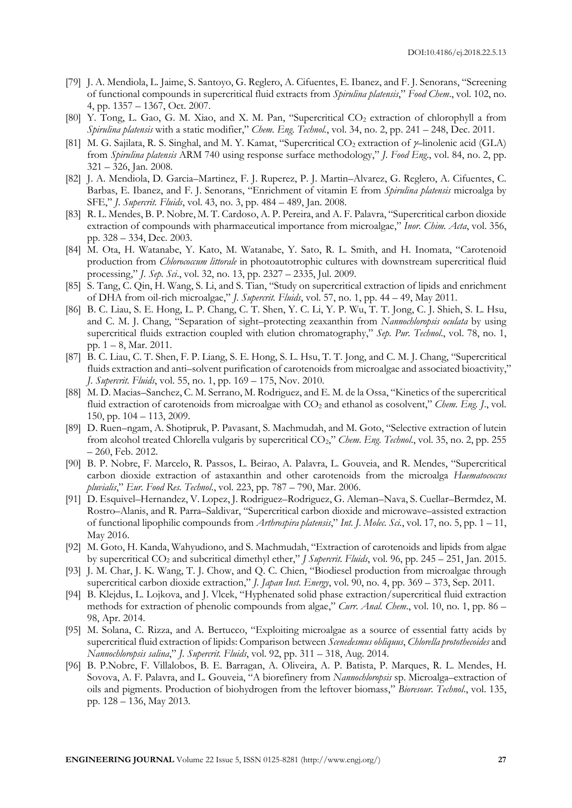- [79] J. A. Mendiola, L. Jaime, S. Santoyo, G. Reglero, A. Cifuentes, E. Ibanez, and F. J. Senorans, "Screening of functional compounds in supercritical fluid extracts from *Spirulina platensis*," *Food Chem*., vol. 102, no. 4, pp. 1357 – 1367, Oct. 2007.
- [80] Y. Tong, L. Gao, G. M. Xiao, and X. M. Pan, "Supercritical CO<sub>2</sub> extraction of chlorophyll a from *Spirulina platensis* with a static modifier," *Chem. Eng. Technol.*, vol. 34, no. 2, pp. 241 – 248, Dec. 2011.
- [81] M. G. Sajilata, R. S. Singhal, and M. Y. Kamat, "Supercritical CO<sub>2</sub> extraction of  $\gamma$ -linolenic acid (GLA) from *Spirulina platensis* ARM 740 using response surface methodology," *J. Food Eng*., vol. 84, no. 2, pp. 321 – 326, Jan. 2008.
- [82] J. A. Mendiola, D. Garcia–Martinez, F. J. Ruperez, P. J. Martin–Alvarez, G. Reglero, A. Cifuentes, C. Barbas, E. Ibanez, and F. J. Senorans, "Enrichment of vitamin E from *Spirulina platensis* microalga by SFE," *J. Supercrit. Fluids*, vol. 43, no. 3, pp. 484 – 489, Jan. 2008.
- [83] R. L. Mendes, B. P. Nobre, M. T. Cardoso, A. P. Pereira, and A. F. Palavra, "Supercritical carbon dioxide extraction of compounds with pharmaceutical importance from microalgae," *Inor. Chim. Acta*, vol. 356, pp. 328 – 334, Dec. 2003.
- [84] M. Ota, H. Watanabe, Y. Kato, M. Watanabe, Y. Sato, R. L. Smith, and H. Inomata, "Carotenoid production from *Chlorococcum littorale* in photoautotrophic cultures with downstream supercritical fluid processing," *J. Sep. Sci*., vol. 32, no. 13, pp. 2327 – 2335, Jul. 2009.
- [85] S. Tang, C. Qin, H. Wang, S. Li, and S. Tian, "Study on supercritical extraction of lipids and enrichment of DHA from oil-rich microalgae," *J. Supercrit. Fluids*, vol. 57, no. 1, pp. 44 – 49, May 2011.
- [86] B. C. Liau, S. E. Hong, L. P. Chang, C. T. Shen, Y. C. Li, Y. P. Wu, T. T. Jong, C. J. Shieh, S. L. Hsu, and C. M. J. Chang, "Separation of sight–protecting zeaxanthin from *Nannochloropsis oculata* by using supercritical fluids extraction coupled with elution chromatography," *Sep. Pur. Technol*., vol. 78, no. 1, pp. 1 – 8, Mar. 2011.
- [87] B. C. Liau, C. T. Shen, F. P. Liang, S. E. Hong, S. L. Hsu, T. T. Jong, and C. M. J. Chang, "Supercritical fluids extraction and anti–solvent purification of carotenoids from microalgae and associated bioactivity," *J. Supercrit. Fluids*, vol. 55, no. 1, pp. 169 – 175, Nov. 2010.
- [88] M. D. Macias–Sanchez, C. M. Serrano, M. Rodriguez, and E. M. de la Ossa, "Kinetics of the supercritical fluid extraction of carotenoids from microalgae with CO<sub>2</sub> and ethanol as cosolvent," *Chem. Eng. J.*, vol. 150, pp. 104 – 113, 2009.
- [89] D. Ruen–ngam, A. Shotipruk, P. Pavasant, S. Machmudah, and M. Goto, "Selective extraction of lutein from alcohol treated Chlorella vulgaris by supercritical CO<sub>2</sub>," *Chem. Eng. Technol.*, vol. 35, no. 2, pp. 255 – 260, Feb. 2012.
- [90] B. P. Nobre, F. Marcelo, R. Passos, L. Beirao, A. Palavra, L. Gouveia, and R. Mendes, "Supercritical carbon dioxide extraction of astaxanthin and other carotenoids from the microalga *Haematococcus pluvialis*," *Eur. Food Res. Technol*., vol. 223, pp. 787 – 790, Mar. 2006.
- [91] D. Esquivel–Hernandez, V. Lopez, J. Rodriguez–Rodriguez, G. Aleman–Nava, S. Cuellar–Bermdez, M. Rostro–Alanis, and R. Parra–Saldivar, "Supercritical carbon dioxide and microwave–assisted extraction of functional lipophilic compounds from *Arthrospira platensis*," *Int. J. Molec. Sci.*, vol. 17, no. 5, pp. 1 – 11, May 2016.
- [92] M. Goto, H. Kanda, Wahyudiono, and S. Machmudah, "Extraction of carotenoids and lipids from algae by supercritical CO<sup>2</sup> and subcritical dimethyl ether," *J Supercrit. Fluids*, vol. 96, pp. 245 – 251, Jan. 2015.
- [93] J. M. Char, J. K. Wang, T. J. Chow, and Q. C. Chien, "Biodiesel production from microalgae through supercritical carbon dioxide extraction," *J. Japan Inst. Energy*, vol. 90, no. 4, pp. 369 – 373, Sep. 2011.
- [94] B. Klejdus, L. Lojkova, and J. Vlcek, "Hyphenated solid phase extraction/supercritical fluid extraction methods for extraction of phenolic compounds from algae," *Curr. Anal. Chem*., vol. 10, no. 1, pp. 86 – 98, Apr. 2014.
- [95] M. Solana, C. Rizza, and A. Bertucco, "Exploiting microalgae as a source of essential fatty acids by supercritical fluid extraction of lipids: Comparison between *Scenedesmus obliquus*, *Chlorella protothecoides* and *Nannochloropsis salina*," *J. Supercrit. Fluids*, vol. 92, pp. 311 – 318, Aug. 2014.
- [96] B. P.Nobre, F. Villalobos, B. E. Barragan, A. Oliveira, A. P. Batista, P. Marques, R. L. Mendes, H. Sovova, A. F. Palavra, and L. Gouveia, "A biorefinery from *Nannochloropsis* sp. Microalga–extraction of oils and pigments. Production of biohydrogen from the leftover biomass," *Bioresour. Technol*., vol. 135, pp. 128 – 136, May 2013.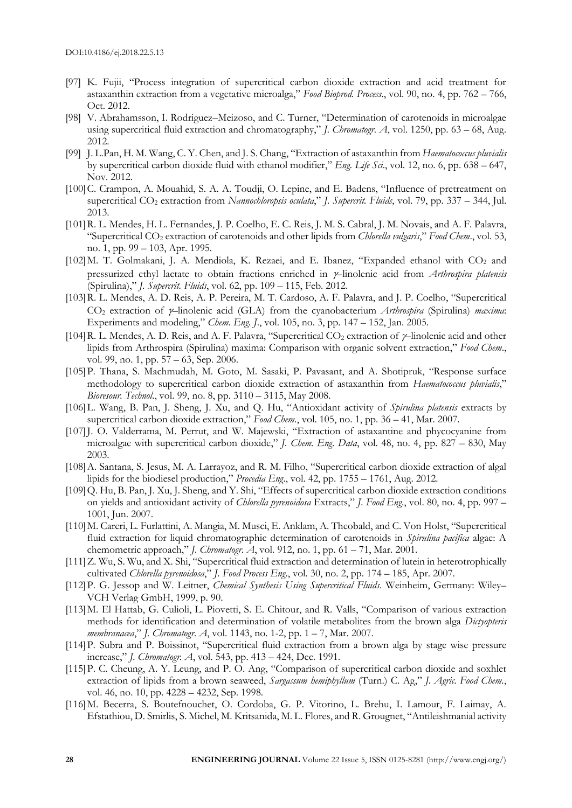- [97] K. Fujii, "Process integration of supercritical carbon dioxide extraction and acid treatment for astaxanthin extraction from a vegetative microalga," *Food Bioprod. Process*., vol. 90, no. 4, pp. 762 – 766, Oct. 2012.
- [98] V. Abrahamsson, I. Rodriguez–Meizoso, and C. Turner, "Determination of carotenoids in microalgae using supercritical fluid extraction and chromatography," *J. Chromatogr. A*, vol. 1250, pp. 63 – 68, Aug. 2012.
- [99] J. L.Pan, H. M. Wang, C. Y. Chen, and J. S. Chang, "Extraction of astaxanthin from *Haematococcus pluvialis* by supercritical carbon dioxide fluid with ethanol modifier," *Eng. Life Sci*., vol. 12, no. 6, pp. 638 – 647, Nov. 2012.
- [100]C. Crampon, A. Mouahid, S. A. A. Toudji, O. Lepine, and E. Badens, "Influence of pretreatment on supercritical CO<sup>2</sup> extraction from *Nannochloropsis oculata*," *J. Supercrit. Fluids*, vol. 79, pp. 337 – 344, Jul. 2013.
- [101]R. L. Mendes, H. L. Fernandes, J. P. Coelho, E. C. Reis, J. M. S. Cabral, J. M. Novais, and A. F. Palavra, "Supercritical CO<sup>2</sup> extraction of carotenoids and other lipids from *Chlorella vulgaris*," *Food Chem*., vol. 53, no. 1, pp. 99 – 103, Apr. 1995.
- [102] M. T. Golmakani, J. A. Mendiola, K. Rezaei, and E. Ibanez, "Expanded ethanol with CO<sub>2</sub> and pressurized ethyl lactate to obtain fractions enriched in –linolenic acid from *Arthrospira platensis* (Spirulina)," *J. Supercrit. Fluids*, vol. 62, pp. 109 – 115, Feb. 2012.
- [103]R. L. Mendes, A. D. Reis, A. P. Pereira, M. T. Cardoso, A. F. Palavra, and J. P. Coelho, "Supercritical CO<sub>2</sub> extraction of  $\gamma$ -linolenic acid (GLA) from the cyanobacterium *Arthrospira* (Spirulina) *maxima*: Experiments and modeling," *Chem. Eng. J*., vol. 105, no. 3, pp. 147 – 152, Jan. 2005.
- [104] R. L. Mendes, A. D. Reis, and A. F. Palavra, "Supercritical  $CO_2$  extraction of  $\gamma$ -linolenic acid and other lipids from Arthrospira (Spirulina) maxima: Comparison with organic solvent extraction," *Food Chem*., vol. 99, no. 1, pp. 57 – 63, Sep. 2006.
- [105]P. Thana, S. Machmudah, M. Goto, M. Sasaki, P. Pavasant, and A. Shotipruk, "Response surface methodology to supercritical carbon dioxide extraction of astaxanthin from *Haematococcus pluvialis*," *Bioresour. Technol*., vol. 99, no. 8, pp. 3110 – 3115, May 2008.
- [106]L. Wang, B. Pan, J. Sheng, J. Xu, and Q. Hu, "Antioxidant activity of *Spirulina platensis* extracts by supercritical carbon dioxide extraction," *Food Chem.*, vol. 105, no. 1, pp. 36 - 41, Mar. 2007.
- [107]J. O. Valderrama, M. Perrut, and W. Majewski, "Extraction of astaxantine and phycocyanine from microalgae with supercritical carbon dioxide," *J. Chem. Eng. Data*, vol. 48, no. 4, pp. 827 – 830, May 2003.
- [108] A. Santana, S. Jesus, M. A. Larrayoz, and R. M. Filho, "Supercritical carbon dioxide extraction of algal lipids for the biodiesel production," *Procedia Eng*., vol. 42, pp. 1755 – 1761, Aug. 2012.
- [109]Q. Hu, B. Pan, J. Xu, J. Sheng, and Y. Shi, "Effects of supercritical carbon dioxide extraction conditions on yields and antioxidant activity of *Chlorella pyrenoidosa* Extracts," *J. Food Eng*., vol. 80, no. 4, pp. 997 – 1001, Jun. 2007.
- [110]M. Careri, L. Furlattini, A. Mangia, M. Musci, E. Anklam, A. Theobald, and C. Von Holst, "Supercritical fluid extraction for liquid chromatographic determination of carotenoids in *Spirulina pacifica* algae: A chemometric approach," *J. Chromatogr. A*, vol. 912, no. 1, pp. 61 – 71, Mar. 2001.
- [111]Z. Wu, S. Wu, and X. Shi, "Supercritical fluid extraction and determination of lutein in heterotrophically cultivated *Chlorella pyrenoidosa*," *J. Food Process Eng*., vol. 30, no. 2, pp. 174 – 185, Apr. 2007.
- [112]P. G. Jessop and W. Leitner, *Chemical Synthesis Using Supercritical Fluids*. Weinheim, Germany: Wiley– VCH Verlag GmbH, 1999, p. 90.
- [113]M. El Hattab, G. Culioli, L. Piovetti, S. E. Chitour, and R. Valls, "Comparison of various extraction methods for identification and determination of volatile metabolites from the brown alga *Dictyopteris membranacea*," *J. Chromatogr. A*, vol. 1143, no. 1-2, pp. 1 – 7, Mar. 2007.
- [114]P. Subra and P. Boissinot, "Supercritical fluid extraction from a brown alga by stage wise pressure increase," *J. Chromatogr. A*, vol. 543, pp. 413 – 424, Dec. 1991.
- [115]P. C. Cheung, A. Y. Leung, and P. O. Ang, "Comparison of supercritical carbon dioxide and soxhlet extraction of lipids from a brown seaweed, *Sargassum hemiphyllum* (Turn.) C. Ag," *J. Agric. Food Chem.*, vol. 46, no. 10, pp. 4228 – 4232, Sep. 1998.
- [116]M. Becerra, S. Boutefnouchet, O. Cordoba, G. P. Vitorino, L. Brehu, I. Lamour, F. Laimay, A. Efstathiou, D. Smirlis, S. Michel, M. Kritsanida, M. L. Flores, and R. Grougnet, "Antileishmanial activity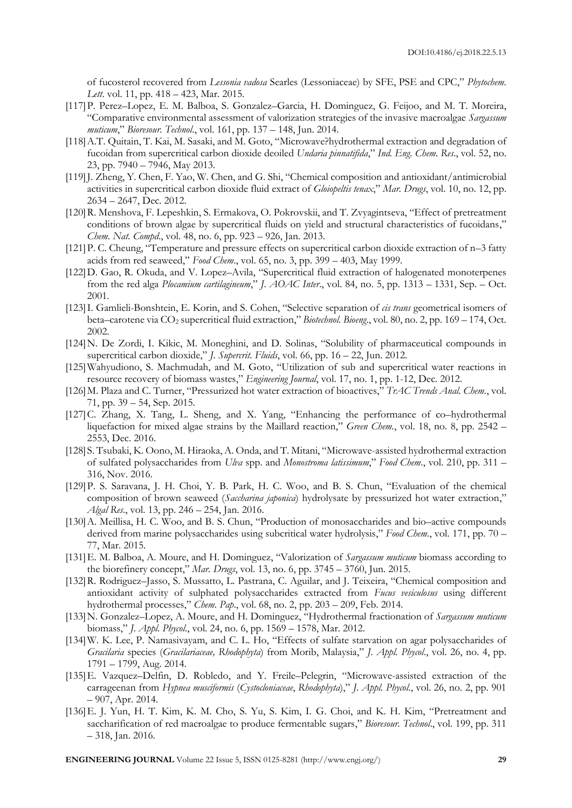of fucosterol recovered from *Lessonia vadosa* Searles (Lessoniaceae) by SFE, PSE and CPC," *Phytochem. Lett*. vol. 11, pp. 418 – 423, Mar. 2015.

- [117]P. Perez–Lopez, E. M. Balboa, S. Gonzalez–Garcia, H. Dominguez, G. Feijoo, and M. T. Moreira, "Comparative environmental assessment of valorization strategies of the invasive macroalgae *Sargassum muticum*," *Bioresour. Technol*., vol. 161, pp. 137 – 148, Jun. 2014.
- [118]A.T. Quitain, T. Kai, M. Sasaki, and M. Goto, "Microwave?hydrothermal extraction and degradation of fucoidan from supercritical carbon dioxide deoiled *Undaria pinnatifida*," *Ind. Eng. Chem. Res*., vol. 52, no. 23, pp. 7940 – 7946, May 2013.
- [119] J. Zheng, Y. Chen, F. Yao, W. Chen, and G. Shi, "Chemical composition and antioxidant/antimicrobial activities in supercritical carbon dioxide fluid extract of *Gloiopeltis tenax*," *Mar. Drugs*, vol. 10, no. 12, pp. 2634 – 2647, Dec. 2012.
- [120]R. Menshova, F. Lepeshkin, S. Ermakova, O. Pokrovskii, and T. Zvyagintseva, "Effect of pretreatment conditions of brown algae by supercritical fluids on yield and structural characteristics of fucoidans," *Chem. Nat. Compd*., vol. 48, no. 6, pp. 923 – 926, Jan. 2013.
- [121]P. C. Cheung, "Temperature and pressure effects on supercritical carbon dioxide extraction of n–3 fatty acids from red seaweed," *Food Chem*., vol. 65, no. 3, pp. 399 – 403, May 1999.
- [122]D. Gao, R. Okuda, and V. Lopez–Avila, "Supercritical fluid extraction of halogenated monoterpenes from the red alga *Plocamium cartilagineum*," *J. AOAC Inter*., vol. 84, no. 5, pp. 1313 – 1331, Sep. – Oct. 2001.
- [123]I. Gamlieli-Bonshtein, E. Korin, and S. Cohen, "Selective separation of *cis trans* geometrical isomers of beta–carotene via CO<sup>2</sup> supercritical fluid extraction," *Biotechnol. Bioeng*., vol. 80, no. 2, pp. 169 – 174, Oct. 2002.
- [124]N. De Zordi, I. Kikic, M. Moneghini, and D. Solinas, "Solubility of pharmaceutical compounds in supercritical carbon dioxide," *J. Supercrit. Fluids*, vol. 66, pp. 16 – 22, Jun. 2012.
- [125]Wahyudiono, S. Machmudah, and M. Goto, "Utilization of sub and supercritical water reactions in resource recovery of biomass wastes," *Engineering Journal*, vol. 17, no. 1, pp. 1-12, Dec. 2012.
- [126]M. Plaza and C. Turner, "Pressurized hot water extraction of bioactives," *TrAC Trends Anal. Chem.*, vol. 71, pp. 39 – 54, Sep. 2015.
- [127]C. Zhang, X. Tang, L. Sheng, and X. Yang, "Enhancing the performance of co–hydrothermal liquefaction for mixed algae strains by the Maillard reaction," *Green Chem.*, vol. 18, no. 8, pp. 2542 – 2553, Dec. 2016.
- [128] S. Tsubaki, K. Oono, M. Hiraoka, A. Onda, and T. Mitani, "Microwave-assisted hydrothermal extraction of sulfated polysaccharides from *Ulva* spp. and *Monostroma latissimum*," *Food Chem*., vol. 210, pp. 311 – 316, Nov. 2016.
- [129]P. S. Saravana, J. H. Choi, Y. B. Park, H. C. Woo, and B. S. Chun, "Evaluation of the chemical composition of brown seaweed (*Saccharina japonica*) hydrolysate by pressurized hot water extraction," *Algal Res*., vol. 13, pp. 246 – 254, Jan. 2016.
- [130]A. Meillisa, H. C. Woo, and B. S. Chun, "Production of monosaccharides and bio–active compounds derived from marine polysaccharides using subcritical water hydrolysis," *Food Chem*., vol. 171, pp. 70 – 77, Mar. 2015.
- [131]E. M. Balboa, A. Moure, and H. Dominguez, "Valorization of *Sargassum muticum* biomass according to the biorefinery concept," *Mar. Drugs*, vol. 13, no. 6, pp. 3745 – 3760, Jun. 2015.
- [132] R. Rodriguez–Jasso, S. Mussatto, L. Pastrana, C. Aguilar, and J. Teixeira, "Chemical composition and antioxidant activity of sulphated polysaccharides extracted from *Fucus vesiculosus* using different hydrothermal processes," *Chem. Pap*., vol. 68, no. 2, pp. 203 – 209, Feb. 2014.
- [133]N. Gonzalez–Lopez, A. Moure, and H. Dominguez, "Hydrothermal fractionation of *Sargassum muticum* biomass," *J. Appl. Phycol*., vol. 24, no. 6, pp. 1569 – 1578, Mar. 2012.
- [134]W. K. Lee, P. Namasivayam, and C. L. Ho, "Effects of sulfate starvation on agar polysaccharides of *Gracilaria* species (*Gracilariaceae, Rhodophyta*) from Morib, Malaysia," *J. Appl. Phycol*., vol. 26, no. 4, pp. 1791 – 1799, Aug. 2014.
- [135]E. Vazquez–Delfin, D. Robledo, and Y. Freile–Pelegrin, "Microwave-assisted extraction of the carrageenan from *Hypnea musciformis* (*Cystocloniaceae*, *Rhodophyta*)," *J. Appl. Phycol*., vol. 26, no. 2, pp. 901 – 907, Apr. 2014.
- [136]E. J. Yun, H. T. Kim, K. M. Cho, S. Yu, S. Kim, I. G. Choi, and K. H. Kim, "Pretreatment and saccharification of red macroalgae to produce fermentable sugars," *Bioresour. Technol*., vol. 199, pp. 311 – 318, Jan. 2016.

**ENGINEERING JOURNAL** Volume 22 Issue 5, ISSN 0125-8281 (http://www.engj.org/) **29**